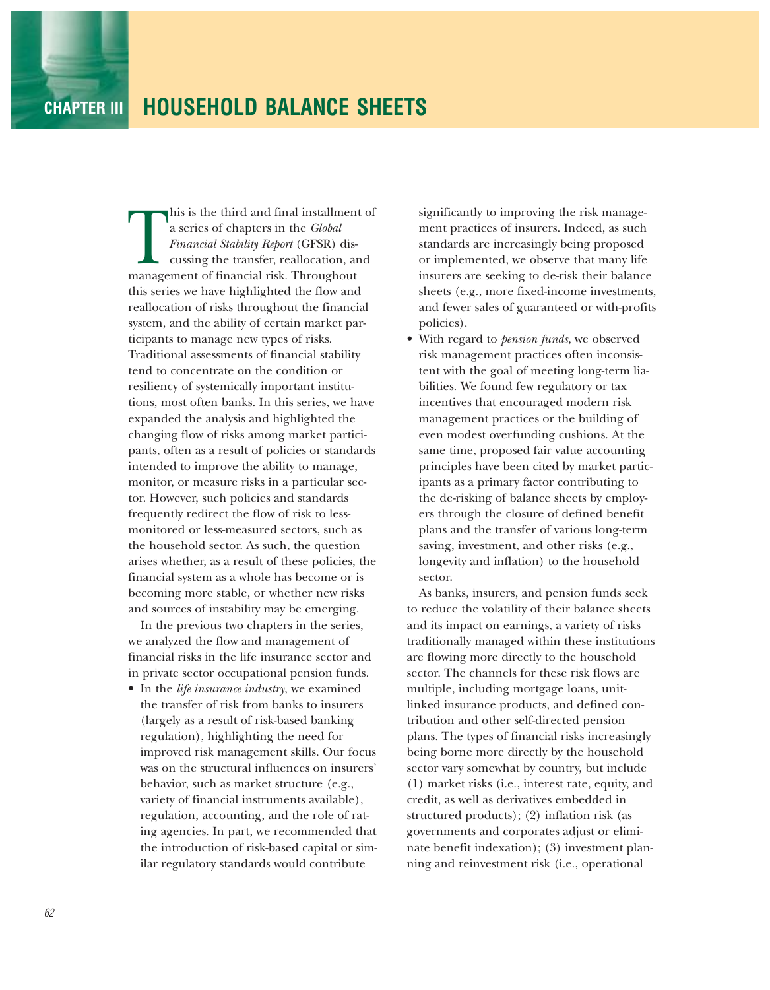# **CHAPTER III HOUSEHOLD BALANCE SHEETS**

this is the third and final installment of a series of chapters in the *Global Financial Stability Report* (GFSR) discussing the transfer, reallocation, and management of financial risk. Throughout this series we have highlighted the flow and reallocation of risks throughout the financial system, and the ability of certain market participants to manage new types of risks. Traditional assessments of financial stability tend to concentrate on the condition or resiliency of systemically important institutions, most often banks. In this series, we have expanded the analysis and highlighted the changing flow of risks among market participants, often as a result of policies or standards intended to improve the ability to manage, monitor, or measure risks in a particular sector. However, such policies and standards frequently redirect the flow of risk to lessmonitored or less-measured sectors, such as the household sector. As such, the question arises whether, as a result of these policies, the financial system as a whole has become or is becoming more stable, or whether new risks and sources of instability may be emerging.

In the previous two chapters in the series, we analyzed the flow and management of financial risks in the life insurance sector and in private sector occupational pension funds.

• In the *life insurance industry*, we examined the transfer of risk from banks to insurers (largely as a result of risk-based banking regulation), highlighting the need for improved risk management skills. Our focus was on the structural influences on insurers' behavior, such as market structure (e.g., variety of financial instruments available), regulation, accounting, and the role of rating agencies. In part, we recommended that the introduction of risk-based capital or similar regulatory standards would contribute

significantly to improving the risk management practices of insurers. Indeed, as such standards are increasingly being proposed or implemented, we observe that many life insurers are seeking to de-risk their balance sheets (e.g., more fixed-income investments, and fewer sales of guaranteed or with-profits policies).

• With regard to *pension funds*, we observed risk management practices often inconsistent with the goal of meeting long-term liabilities. We found few regulatory or tax incentives that encouraged modern risk management practices or the building of even modest overfunding cushions. At the same time, proposed fair value accounting principles have been cited by market participants as a primary factor contributing to the de-risking of balance sheets by employers through the closure of defined benefit plans and the transfer of various long-term saving, investment, and other risks (e.g., longevity and inflation) to the household sector.

As banks, insurers, and pension funds seek to reduce the volatility of their balance sheets and its impact on earnings, a variety of risks traditionally managed within these institutions are flowing more directly to the household sector. The channels for these risk flows are multiple, including mortgage loans, unitlinked insurance products, and defined contribution and other self-directed pension plans. The types of financial risks increasingly being borne more directly by the household sector vary somewhat by country, but include (1) market risks (i.e., interest rate, equity, and credit, as well as derivatives embedded in structured products); (2) inflation risk (as governments and corporates adjust or eliminate benefit indexation); (3) investment planning and reinvestment risk (i.e., operational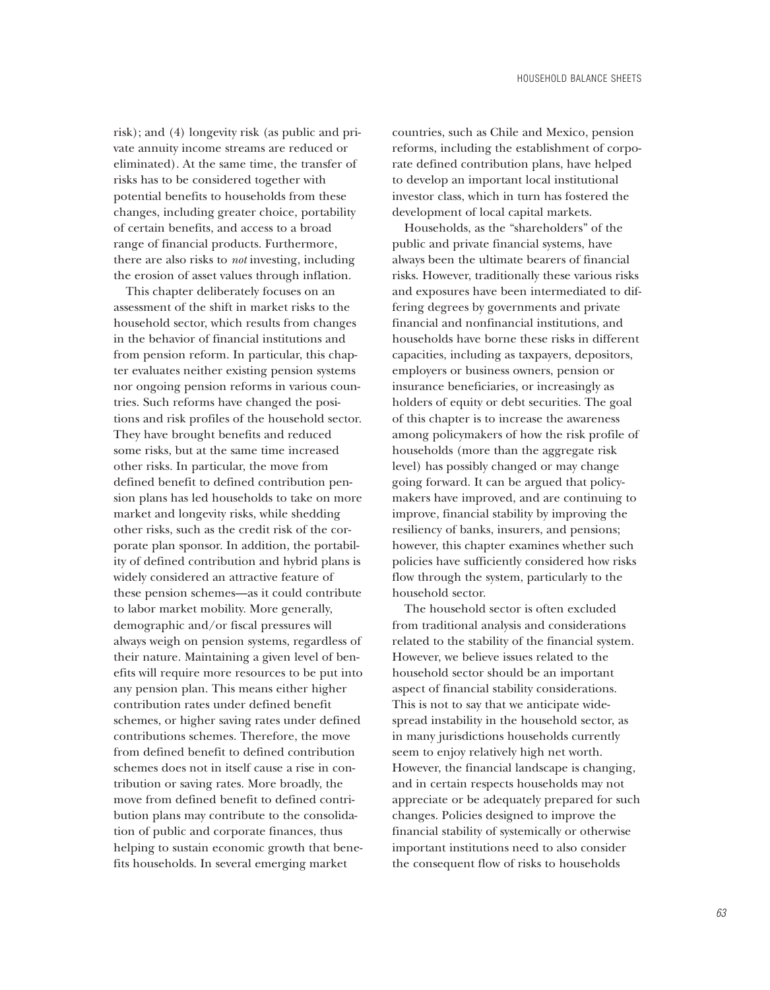risk); and (4) longevity risk (as public and private annuity income streams are reduced or eliminated). At the same time, the transfer of risks has to be considered together with potential benefits to households from these changes, including greater choice, portability of certain benefits, and access to a broad range of financial products. Furthermore, there are also risks to *not* investing, including the erosion of asset values through inflation.

This chapter deliberately focuses on an assessment of the shift in market risks to the household sector, which results from changes in the behavior of financial institutions and from pension reform. In particular, this chapter evaluates neither existing pension systems nor ongoing pension reforms in various countries. Such reforms have changed the positions and risk profiles of the household sector. They have brought benefits and reduced some risks, but at the same time increased other risks. In particular, the move from defined benefit to defined contribution pension plans has led households to take on more market and longevity risks, while shedding other risks, such as the credit risk of the corporate plan sponsor. In addition, the portability of defined contribution and hybrid plans is widely considered an attractive feature of these pension schemes—as it could contribute to labor market mobility. More generally, demographic and/or fiscal pressures will always weigh on pension systems, regardless of their nature. Maintaining a given level of benefits will require more resources to be put into any pension plan. This means either higher contribution rates under defined benefit schemes, or higher saving rates under defined contributions schemes. Therefore, the move from defined benefit to defined contribution schemes does not in itself cause a rise in contribution or saving rates. More broadly, the move from defined benefit to defined contribution plans may contribute to the consolidation of public and corporate finances, thus helping to sustain economic growth that benefits households. In several emerging market

countries, such as Chile and Mexico, pension reforms, including the establishment of corporate defined contribution plans, have helped to develop an important local institutional investor class, which in turn has fostered the development of local capital markets.

Households, as the "shareholders" of the public and private financial systems, have always been the ultimate bearers of financial risks. However, traditionally these various risks and exposures have been intermediated to differing degrees by governments and private financial and nonfinancial institutions, and households have borne these risks in different capacities, including as taxpayers, depositors, employers or business owners, pension or insurance beneficiaries, or increasingly as holders of equity or debt securities. The goal of this chapter is to increase the awareness among policymakers of how the risk profile of households (more than the aggregate risk level) has possibly changed or may change going forward. It can be argued that policymakers have improved, and are continuing to improve, financial stability by improving the resiliency of banks, insurers, and pensions; however, this chapter examines whether such policies have sufficiently considered how risks flow through the system, particularly to the household sector.

The household sector is often excluded from traditional analysis and considerations related to the stability of the financial system. However, we believe issues related to the household sector should be an important aspect of financial stability considerations. This is not to say that we anticipate widespread instability in the household sector, as in many jurisdictions households currently seem to enjoy relatively high net worth. However, the financial landscape is changing, and in certain respects households may not appreciate or be adequately prepared for such changes. Policies designed to improve the financial stability of systemically or otherwise important institutions need to also consider the consequent flow of risks to households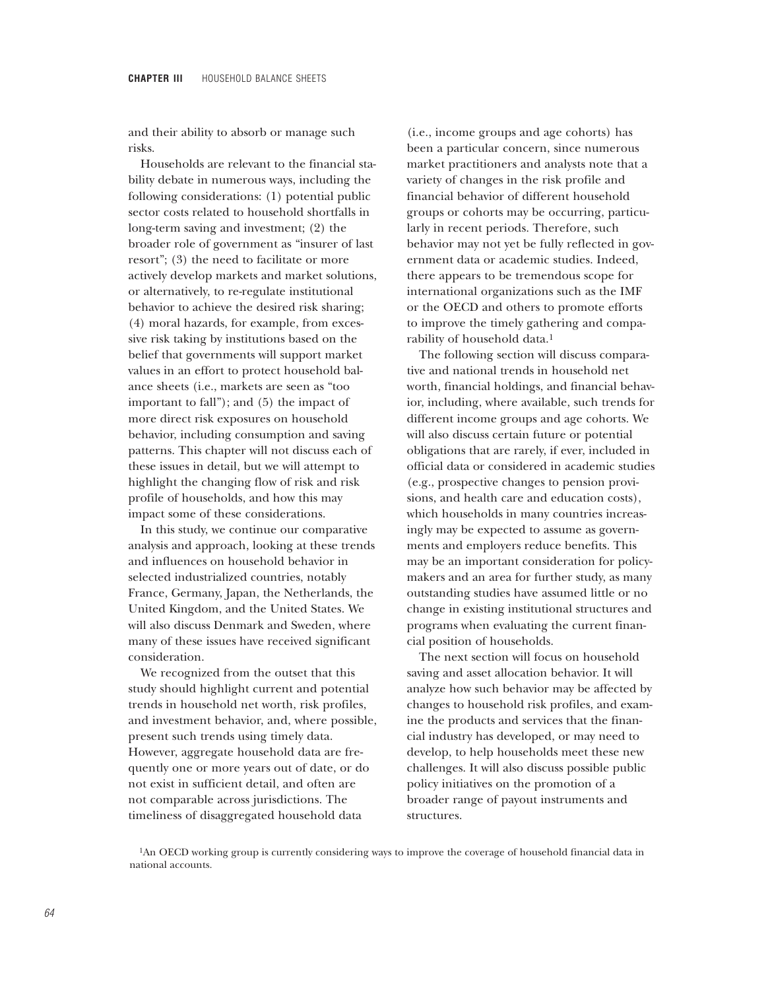and their ability to absorb or manage such risks.

Households are relevant to the financial stability debate in numerous ways, including the following considerations: (1) potential public sector costs related to household shortfalls in long-term saving and investment; (2) the broader role of government as "insurer of last resort"; (3) the need to facilitate or more actively develop markets and market solutions, or alternatively, to re-regulate institutional behavior to achieve the desired risk sharing; (4) moral hazards, for example, from excessive risk taking by institutions based on the belief that governments will support market values in an effort to protect household balance sheets (i.e., markets are seen as "too important to fall"); and (5) the impact of more direct risk exposures on household behavior, including consumption and saving patterns. This chapter will not discuss each of these issues in detail, but we will attempt to highlight the changing flow of risk and risk profile of households, and how this may impact some of these considerations.

In this study, we continue our comparative analysis and approach, looking at these trends and influences on household behavior in selected industrialized countries, notably France, Germany, Japan, the Netherlands, the United Kingdom, and the United States. We will also discuss Denmark and Sweden, where many of these issues have received significant consideration.

We recognized from the outset that this study should highlight current and potential trends in household net worth, risk profiles, and investment behavior, and, where possible, present such trends using timely data. However, aggregate household data are frequently one or more years out of date, or do not exist in sufficient detail, and often are not comparable across jurisdictions. The timeliness of disaggregated household data

(i.e., income groups and age cohorts) has been a particular concern, since numerous market practitioners and analysts note that a variety of changes in the risk profile and financial behavior of different household groups or cohorts may be occurring, particularly in recent periods. Therefore, such behavior may not yet be fully reflected in government data or academic studies. Indeed, there appears to be tremendous scope for international organizations such as the IMF or the OECD and others to promote efforts to improve the timely gathering and comparability of household data.1

The following section will discuss comparative and national trends in household net worth, financial holdings, and financial behavior, including, where available, such trends for different income groups and age cohorts. We will also discuss certain future or potential obligations that are rarely, if ever, included in official data or considered in academic studies (e.g., prospective changes to pension provisions, and health care and education costs), which households in many countries increasingly may be expected to assume as governments and employers reduce benefits. This may be an important consideration for policymakers and an area for further study, as many outstanding studies have assumed little or no change in existing institutional structures and programs when evaluating the current financial position of households.

The next section will focus on household saving and asset allocation behavior. It will analyze how such behavior may be affected by changes to household risk profiles, and examine the products and services that the financial industry has developed, or may need to develop, to help households meet these new challenges. It will also discuss possible public policy initiatives on the promotion of a broader range of payout instruments and structures.

1An OECD working group is currently considering ways to improve the coverage of household financial data in national accounts.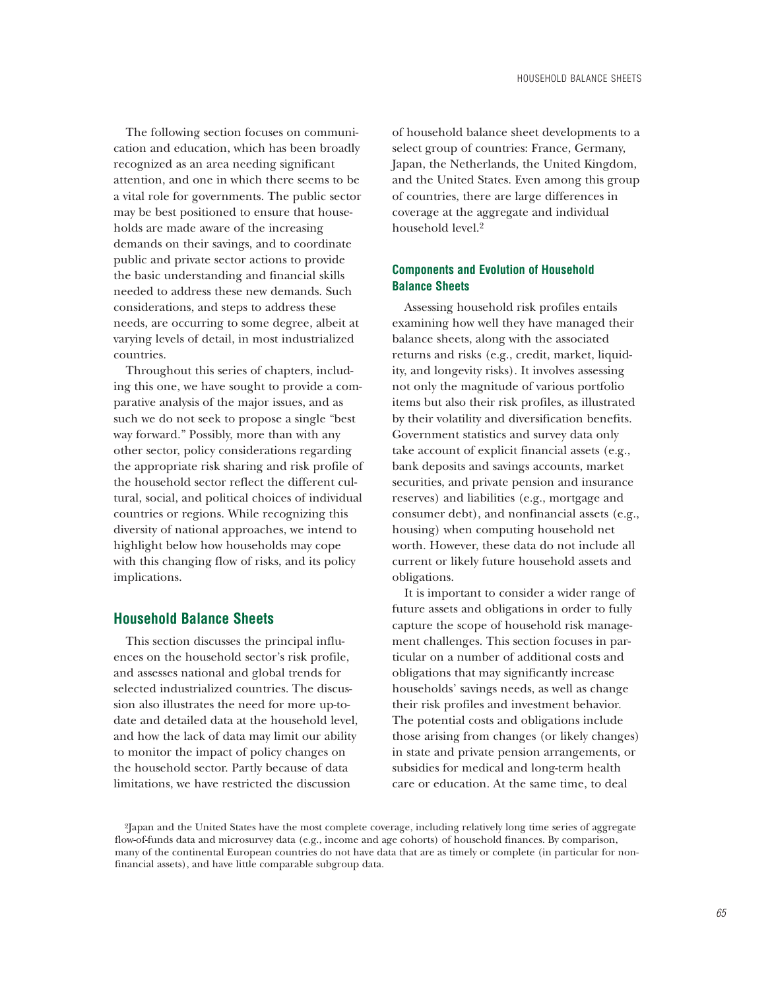The following section focuses on communication and education, which has been broadly recognized as an area needing significant attention, and one in which there seems to be a vital role for governments. The public sector may be best positioned to ensure that households are made aware of the increasing demands on their savings, and to coordinate public and private sector actions to provide the basic understanding and financial skills needed to address these new demands. Such considerations, and steps to address these needs, are occurring to some degree, albeit at varying levels of detail, in most industrialized countries.

Throughout this series of chapters, including this one, we have sought to provide a comparative analysis of the major issues, and as such we do not seek to propose a single "best way forward." Possibly, more than with any other sector, policy considerations regarding the appropriate risk sharing and risk profile of the household sector reflect the different cultural, social, and political choices of individual countries or regions. While recognizing this diversity of national approaches, we intend to highlight below how households may cope with this changing flow of risks, and its policy implications.

# **Household Balance Sheets**

This section discusses the principal influences on the household sector's risk profile, and assesses national and global trends for selected industrialized countries. The discussion also illustrates the need for more up-todate and detailed data at the household level, and how the lack of data may limit our ability to monitor the impact of policy changes on the household sector. Partly because of data limitations, we have restricted the discussion

of household balance sheet developments to a select group of countries: France, Germany, Japan, the Netherlands, the United Kingdom, and the United States. Even among this group of countries, there are large differences in coverage at the aggregate and individual household level.2

# **Components and Evolution of Household Balance Sheets**

Assessing household risk profiles entails examining how well they have managed their balance sheets, along with the associated returns and risks (e.g., credit, market, liquidity, and longevity risks). It involves assessing not only the magnitude of various portfolio items but also their risk profiles, as illustrated by their volatility and diversification benefits. Government statistics and survey data only take account of explicit financial assets (e.g., bank deposits and savings accounts, market securities, and private pension and insurance reserves) and liabilities (e.g., mortgage and consumer debt), and nonfinancial assets (e.g., housing) when computing household net worth. However, these data do not include all current or likely future household assets and obligations.

It is important to consider a wider range of future assets and obligations in order to fully capture the scope of household risk management challenges. This section focuses in particular on a number of additional costs and obligations that may significantly increase households' savings needs, as well as change their risk profiles and investment behavior. The potential costs and obligations include those arising from changes (or likely changes) in state and private pension arrangements, or subsidies for medical and long-term health care or education. At the same time, to deal

<sup>2</sup>Japan and the United States have the most complete coverage, including relatively long time series of aggregate flow-of-funds data and microsurvey data (e.g., income and age cohorts) of household finances. By comparison, many of the continental European countries do not have data that are as timely or complete (in particular for nonfinancial assets), and have little comparable subgroup data.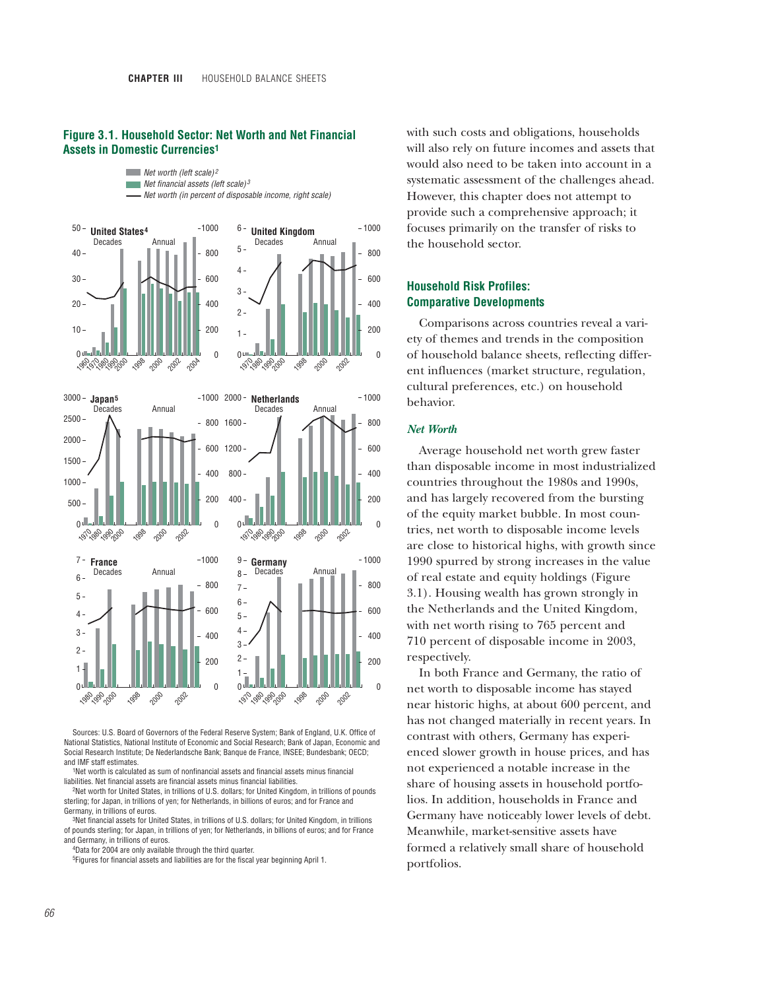## **Figure 3.1. Household Sector: Net Worth and Net Financial Assets in Domestic Currencies1**



Sources: U.S. Board of Governors of the Federal Reserve System; Bank of England, U.K. Office of National Statistics, National Institute of Economic and Social Research; Bank of Japan, Economic and Social Research Institute; De Nederlandsche Bank; Banque de France, INSEE; Bundesbank; OECD; and IMF staff estimates.

1Net worth is calculated as sum of nonfinancial assets and financial assets minus financial liabilities. Net financial assets are financial assets minus financial liabilities.

2Net worth for United States, in trillions of U.S. dollars; for United Kingdom, in trillions of pounds sterling; for Japan, in trillions of yen; for Netherlands, in billions of euros; and for France and Germany, in trillions of euros.

3Net financial assets for United States, in trillions of U.S. dollars; for United Kingdom, in trillions of pounds sterling; for Japan, in trillions of yen; for Netherlands, in billions of euros; and for France and Germany, in trillions of euros.

4Data for 2004 are only available through the third quarter.

5Figures for financial assets and liabilities are for the fiscal year beginning April 1.

with such costs and obligations, households will also rely on future incomes and assets that would also need to be taken into account in a systematic assessment of the challenges ahead. However, this chapter does not attempt to provide such a comprehensive approach; it focuses primarily on the transfer of risks to the household sector.

## **Household Risk Profiles: Comparative Developments**

Comparisons across countries reveal a variety of themes and trends in the composition of household balance sheets, reflecting different influences (market structure, regulation, cultural preferences, etc.) on household behavior.

## *Net Worth*

Average household net worth grew faster than disposable income in most industrialized countries throughout the 1980s and 1990s, and has largely recovered from the bursting of the equity market bubble. In most countries, net worth to disposable income levels are close to historical highs, with growth since 1990 spurred by strong increases in the value of real estate and equity holdings (Figure 3.1). Housing wealth has grown strongly in the Netherlands and the United Kingdom, with net worth rising to 765 percent and 710 percent of disposable income in 2003, respectively.

In both France and Germany, the ratio of net worth to disposable income has stayed near historic highs, at about 600 percent, and has not changed materially in recent years. In contrast with others, Germany has experienced slower growth in house prices, and has not experienced a notable increase in the share of housing assets in household portfolios. In addition, households in France and Germany have noticeably lower levels of debt. Meanwhile, market-sensitive assets have formed a relatively small share of household portfolios.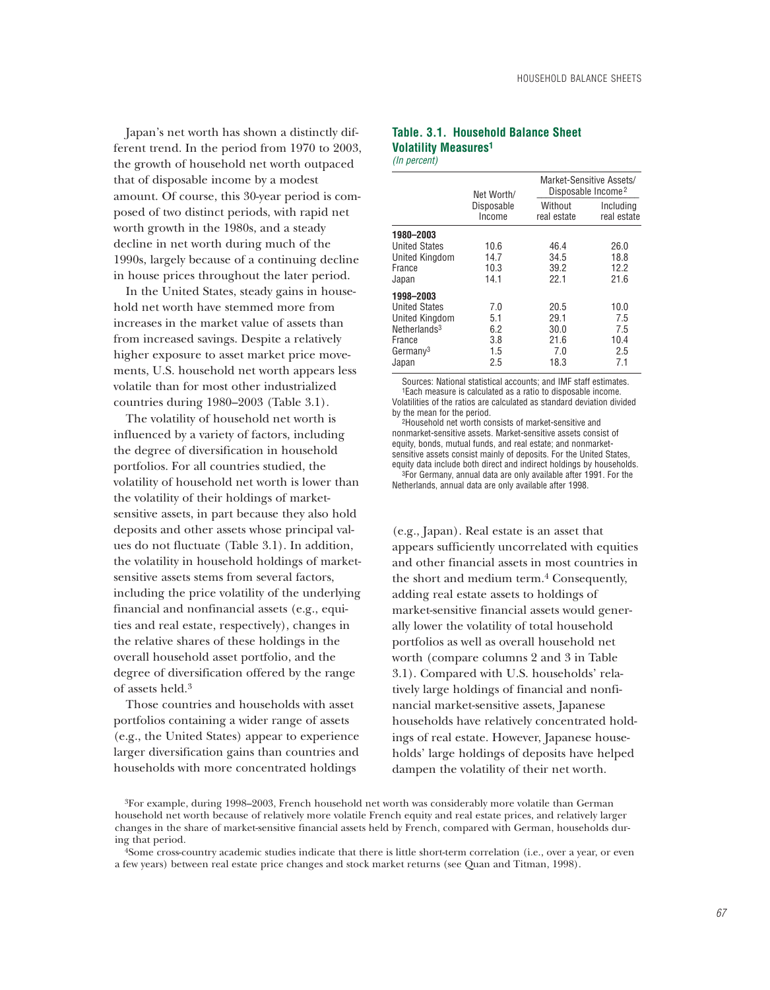Japan's net worth has shown a distinctly different trend. In the period from 1970 to 2003, the growth of household net worth outpaced that of disposable income by a modest amount. Of course, this 30-year period is composed of two distinct periods, with rapid net worth growth in the 1980s, and a steady decline in net worth during much of the 1990s, largely because of a continuing decline in house prices throughout the later period.

In the United States, steady gains in household net worth have stemmed more from increases in the market value of assets than from increased savings. Despite a relatively higher exposure to asset market price movements, U.S. household net worth appears less volatile than for most other industrialized countries during 1980–2003 (Table 3.1).

The volatility of household net worth is influenced by a variety of factors, including the degree of diversification in household portfolios. For all countries studied, the volatility of household net worth is lower than the volatility of their holdings of marketsensitive assets, in part because they also hold deposits and other assets whose principal values do not fluctuate (Table 3.1). In addition, the volatility in household holdings of marketsensitive assets stems from several factors, including the price volatility of the underlying financial and nonfinancial assets (e.g., equities and real estate, respectively), changes in the relative shares of these holdings in the overall household asset portfolio, and the degree of diversification offered by the range of assets held.3

Those countries and households with asset portfolios containing a wider range of assets (e.g., the United States) appear to experience larger diversification gains than countries and households with more concentrated holdings

## **Table. 3.1. Household Balance Sheet Volatility Measures1** (In percent)

|                          | Net Worth/           | Market-Sensitive Assets/<br>Disposable Income <sup>2</sup> |                          |  |
|--------------------------|----------------------|------------------------------------------------------------|--------------------------|--|
|                          | Disposable<br>Income | Without<br>real estate                                     | Includina<br>real estate |  |
| 1980–2003                |                      |                                                            |                          |  |
| <b>United States</b>     | 10.6                 | 46.4                                                       | 26.0                     |  |
| United Kingdom           | 14.7                 | 34.5                                                       | 18.8                     |  |
| France                   | 10.3                 | 39.2                                                       | 12.2                     |  |
| Japan                    | 14.1                 | 22.1                                                       | 21.6                     |  |
| 1998-2003                |                      |                                                            |                          |  |
| <b>United States</b>     | 7.0                  | 20.5                                                       | 10.0                     |  |
| United Kingdom           | 5.1                  | 29.1                                                       | 7.5                      |  |
| Netherlands <sup>3</sup> | 6.2                  | 30.0                                                       | 7.5                      |  |
| France                   | 3.8                  | 21.6                                                       | 10.4                     |  |
| Germany <sup>3</sup>     | 1.5                  | 7.0                                                        | 2.5                      |  |
| Japan                    | 2.5                  | 18.3                                                       | 7.1                      |  |
|                          |                      |                                                            |                          |  |

Sources: National statistical accounts; and IMF staff estimates. 1Each measure is calculated as a ratio to disposable income. Volatilities of the ratios are calculated as standard deviation divided by the mean for the period.

2Household net worth consists of market-sensitive and nonmarket-sensitive assets. Market-sensitive assets consist of equity, bonds, mutual funds, and real estate; and nonmarketsensitive assets consist mainly of deposits. For the United States, equity data include both direct and indirect holdings by households. 3For Germany, annual data are only available after 1991. For the

Netherlands, annual data are only available after 1998.

(e.g., Japan). Real estate is an asset that appears sufficiently uncorrelated with equities and other financial assets in most countries in the short and medium term.4 Consequently, adding real estate assets to holdings of market-sensitive financial assets would generally lower the volatility of total household portfolios as well as overall household net worth (compare columns 2 and 3 in Table 3.1). Compared with U.S. households' relatively large holdings of financial and nonfinancial market-sensitive assets, Japanese households have relatively concentrated holdings of real estate. However, Japanese households' large holdings of deposits have helped dampen the volatility of their net worth.

<sup>3</sup>For example, during 1998–2003, French household net worth was considerably more volatile than German household net worth because of relatively more volatile French equity and real estate prices, and relatively larger changes in the share of market-sensitive financial assets held by French, compared with German, households during that period.

<sup>4</sup>Some cross-country academic studies indicate that there is little short-term correlation (i.e., over a year, or even a few years) between real estate price changes and stock market returns (see Quan and Titman, 1998).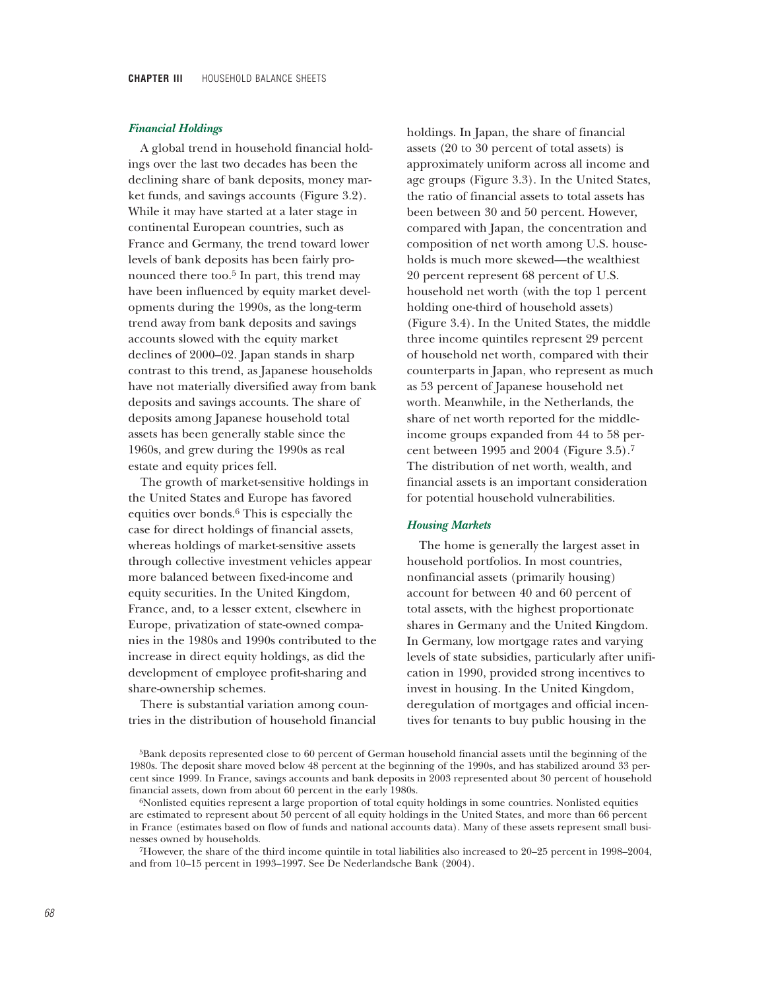## *Financial Holdings*

A global trend in household financial holdings over the last two decades has been the declining share of bank deposits, money market funds, and savings accounts (Figure 3.2). While it may have started at a later stage in continental European countries, such as France and Germany, the trend toward lower levels of bank deposits has been fairly pronounced there too.<sup>5</sup> In part, this trend may have been influenced by equity market developments during the 1990s, as the long-term trend away from bank deposits and savings accounts slowed with the equity market declines of 2000–02. Japan stands in sharp contrast to this trend, as Japanese households have not materially diversified away from bank deposits and savings accounts. The share of deposits among Japanese household total assets has been generally stable since the 1960s, and grew during the 1990s as real estate and equity prices fell.

The growth of market-sensitive holdings in the United States and Europe has favored equities over bonds.6 This is especially the case for direct holdings of financial assets, whereas holdings of market-sensitive assets through collective investment vehicles appear more balanced between fixed-income and equity securities. In the United Kingdom, France, and, to a lesser extent, elsewhere in Europe, privatization of state-owned companies in the 1980s and 1990s contributed to the increase in direct equity holdings, as did the development of employee profit-sharing and share-ownership schemes.

There is substantial variation among countries in the distribution of household financial holdings. In Japan, the share of financial assets (20 to 30 percent of total assets) is approximately uniform across all income and age groups (Figure 3.3). In the United States, the ratio of financial assets to total assets has been between 30 and 50 percent. However, compared with Japan, the concentration and composition of net worth among U.S. households is much more skewed—the wealthiest 20 percent represent 68 percent of U.S. household net worth (with the top 1 percent holding one-third of household assets) (Figure 3.4). In the United States, the middle three income quintiles represent 29 percent of household net worth, compared with their counterparts in Japan, who represent as much as 53 percent of Japanese household net worth. Meanwhile, in the Netherlands, the share of net worth reported for the middleincome groups expanded from 44 to 58 percent between 1995 and 2004 (Figure 3.5).7 The distribution of net worth, wealth, and financial assets is an important consideration for potential household vulnerabilities.

## *Housing Markets*

The home is generally the largest asset in household portfolios. In most countries, nonfinancial assets (primarily housing) account for between 40 and 60 percent of total assets, with the highest proportionate shares in Germany and the United Kingdom. In Germany, low mortgage rates and varying levels of state subsidies, particularly after unification in 1990, provided strong incentives to invest in housing. In the United Kingdom, deregulation of mortgages and official incentives for tenants to buy public housing in the

7However, the share of the third income quintile in total liabilities also increased to 20–25 percent in 1998–2004, and from 10–15 percent in 1993–1997. See De Nederlandsche Bank (2004).

<sup>5</sup>Bank deposits represented close to 60 percent of German household financial assets until the beginning of the 1980s. The deposit share moved below 48 percent at the beginning of the 1990s, and has stabilized around 33 percent since 1999. In France, savings accounts and bank deposits in 2003 represented about 30 percent of household financial assets, down from about 60 percent in the early 1980s.

<sup>&</sup>lt;sup>6</sup>Nonlisted equities represent a large proportion of total equity holdings in some countries. Nonlisted equities are estimated to represent about 50 percent of all equity holdings in the United States, and more than 66 percent in France (estimates based on flow of funds and national accounts data). Many of these assets represent small businesses owned by households.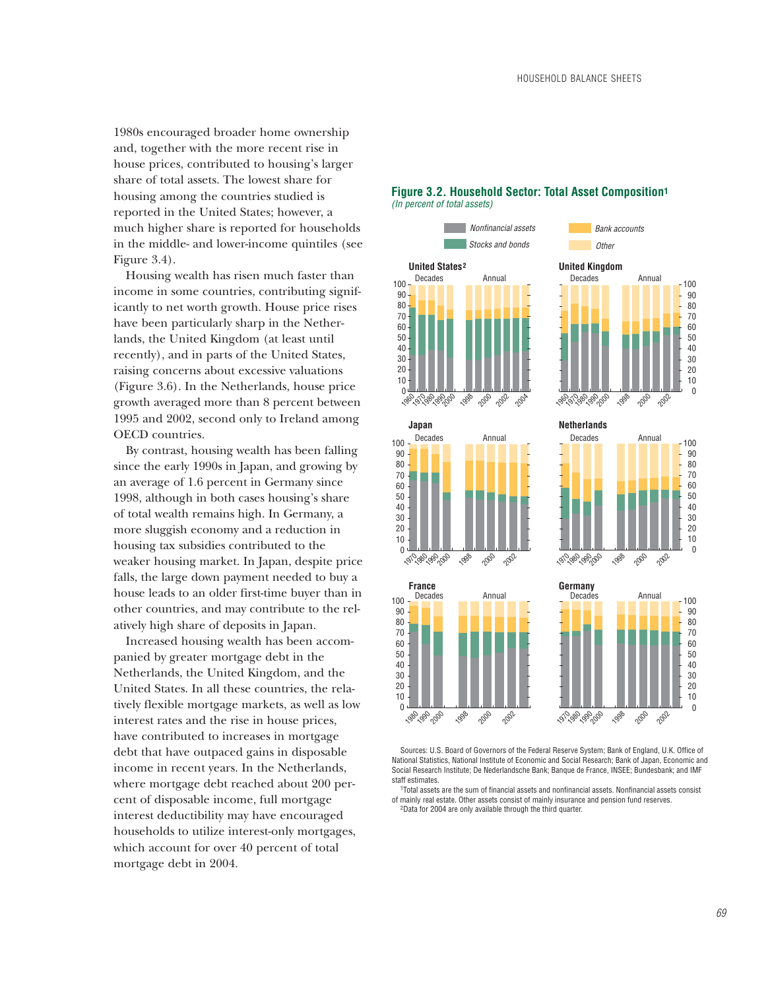1980s encouraged broader home ownership and, together with the more recent rise in house prices, contributed to housing's larger share of total assets. The lowest share for housing among the countries studied is reported in the United States; however, a much higher share is reported for households in the middle- and lower-income quintiles (see Figure 3.4).

Housing wealth has risen much faster than income in some countries, contributing significantly to net worth growth. House price rises have been particularly sharp in the Netherlands, the United Kingdom (at least until recently), and in parts of the United States, raising concerns about excessive valuations (Figure 3.6). In the Netherlands, house price growth averaged more than 8 percent between 1995 and 2002, second only to Ireland among OECD countries.

By contrast, housing wealth has been falling since the early 1990s in Japan, and growing by an average of 1.6 percent in Germany since 1998, although in both cases housing's share of total wealth remains high. In Germany, a more sluggish economy and a reduction in housing tax subsidies contributed to the weaker housing market. In Japan, despite price falls, the large down payment needed to buy a house leads to an older first-time buyer than in other countries, and may contribute to the relatively high share of deposits in Japan.

Increased housing wealth has been accompanied by greater mortgage debt in the Netherlands, the United Kingdom, and the United States. In all these countries, the relatively flexible mortgage markets, as well as low interest rates and the rise in house prices, have contributed to increases in mortgage debt that have outpaced gains in disposable income in recent years. In the Netherlands, where mortgage debt reached about 200 percent of disposable income, full mortgage interest deductibility may have encouraged households to utilize interest-only mortgages, which account for over 40 percent of total mortgage debt in 2004.

## **Figure 3.2. Household Sector: Total Asset Composition1** (In percent of total assets)









Sources: U.S. Board of Governors of the Federal Reserve System; Bank of England, U.K. Office of National Statistics, National Institute of Economic and Social Research; Bank of Japan, Economic and Social Research Institute; De Nederlandsche Bank; Banque de France, INSEE; Bundesbank; and IMF staff estimates.

1Total assets are the sum of financial assets and nonfinancial assets. Nonfinancial assets consist of mainly real estate. Other assets consist of mainly insurance and pension fund reserves. 2Data for 2004 are only available through the third quarter.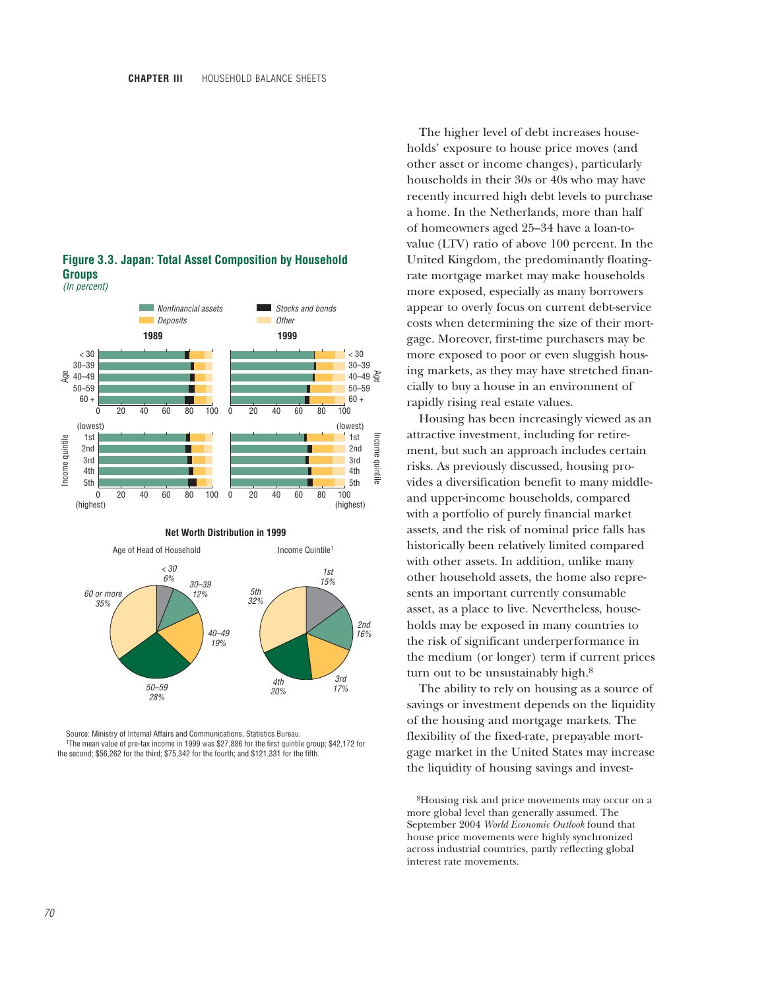

# **Figure 3.3. Japan: Total Asset Composition by Household Groups**

The higher level of debt increases households' exposure to house price moves (and other asset or income changes), particularly households in their 30s or 40s who may have recently incurred high debt levels to purchase a home. In the Netherlands, more than half of homeowners aged 25–34 have a loan-tovalue (LTV) ratio of above 100 percent. In the United Kingdom, the predominantly floatingrate mortgage market may make households more exposed, especially as many borrowers appear to overly focus on current debt-service costs when determining the size of their mortgage. Moreover, first-time purchasers may be more exposed to poor or even sluggish housing markets, as they may have stretched financially to buy a house in an environment of rapidly rising real estate values.

Housing has been increasingly viewed as an attractive investment, including for retirement, but such an approach includes certain risks. As previously discussed, housing provides a diversification benefit to many middleand upper-income households, compared with a portfolio of purely financial market assets, and the risk of nominal price falls has historically been relatively limited compared with other assets. In addition, unlike many other household assets, the home also represents an important currently consumable asset, as a place to live. Nevertheless, households may be exposed in many countries to the risk of significant underperformance in the medium (or longer) term if current prices turn out to be unsustainably high.8

The ability to rely on housing as a source of savings or investment depends on the liquidity of the housing and mortgage markets. The flexibility of the fixed-rate, prepayable mortgage market in the United States may increase the liquidity of housing savings and invest-

8Housing risk and price movements may occur on a more global level than generally assumed. The September 2004 *World Economic Outlook* found that house price movements were highly synchronized across industrial countries, partly reflecting global interest rate movements.

Source: Ministry of Internal Affairs and Communications, Statistics Bureau. 1The mean value of pre-tax income in 1999 was \$27,886 for the first quintile group; \$42,172 for the second; \$56,262 for the third; \$75,342 for the fourth; and \$121,331 for the fifth.

3rd 17%

4th 20%

50–59 28%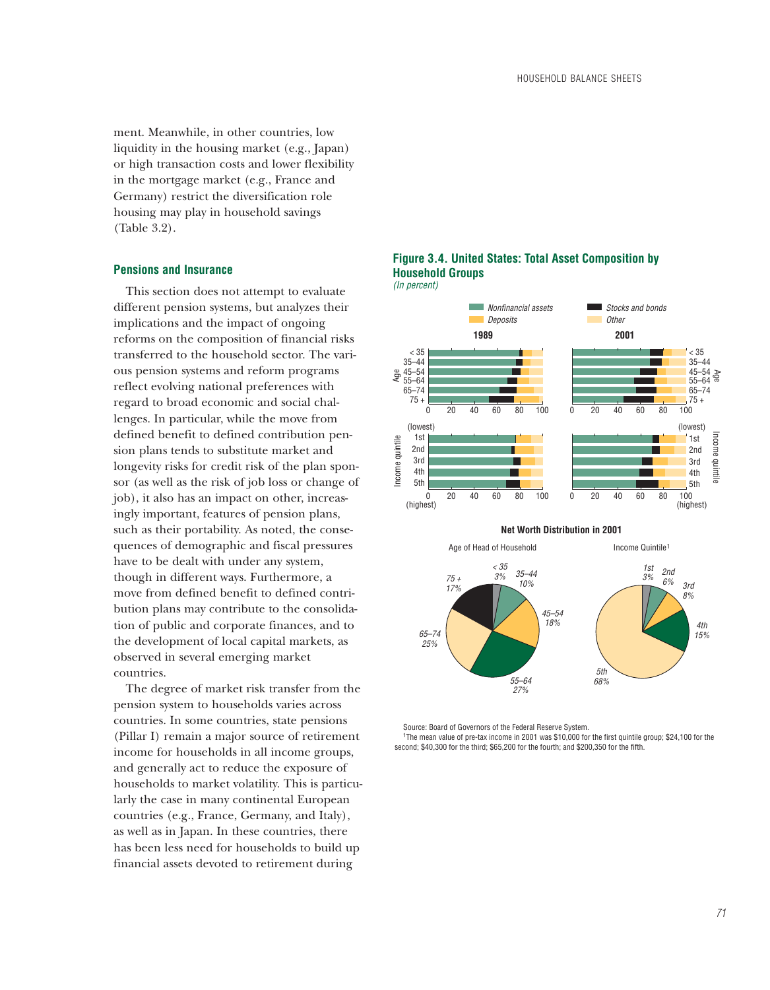ment. Meanwhile, in other countries, low liquidity in the housing market (e.g., Japan) or high transaction costs and lower flexibility in the mortgage market (e.g., France and Germany) restrict the diversification role housing may play in household savings (Table 3.2).

#### **Pensions and Insurance**

This section does not attempt to evaluate different pension systems, but analyzes their implications and the impact of ongoing reforms on the composition of financial risks transferred to the household sector. The various pension systems and reform programs reflect evolving national preferences with regard to broad economic and social challenges. In particular, while the move from defined benefit to defined contribution pension plans tends to substitute market and longevity risks for credit risk of the plan sponsor (as well as the risk of job loss or change of job), it also has an impact on other, increasingly important, features of pension plans, such as their portability. As noted, the consequences of demographic and fiscal pressures have to be dealt with under any system, though in different ways. Furthermore, a move from defined benefit to defined contribution plans may contribute to the consolidation of public and corporate finances, and to the development of local capital markets, as observed in several emerging market countries.

The degree of market risk transfer from the pension system to households varies across countries. In some countries, state pensions (Pillar I) remain a major source of retirement income for households in all income groups, and generally act to reduce the exposure of households to market volatility. This is particularly the case in many continental European countries (e.g., France, Germany, and Italy), as well as in Japan. In these countries, there has been less need for households to build up financial assets devoted to retirement during



**Figure 3.4. United States: Total Asset Composition by Household Groups** (In percent)

Source: Board of Governors of the Federal Reserve System.

<sup>1</sup>The mean value of pre-tax income in 2001 was \$10,000 for the first quintile group; \$24,100 for the second; \$40,300 for the third; \$65,200 for the fourth; and \$200,350 for the fifth.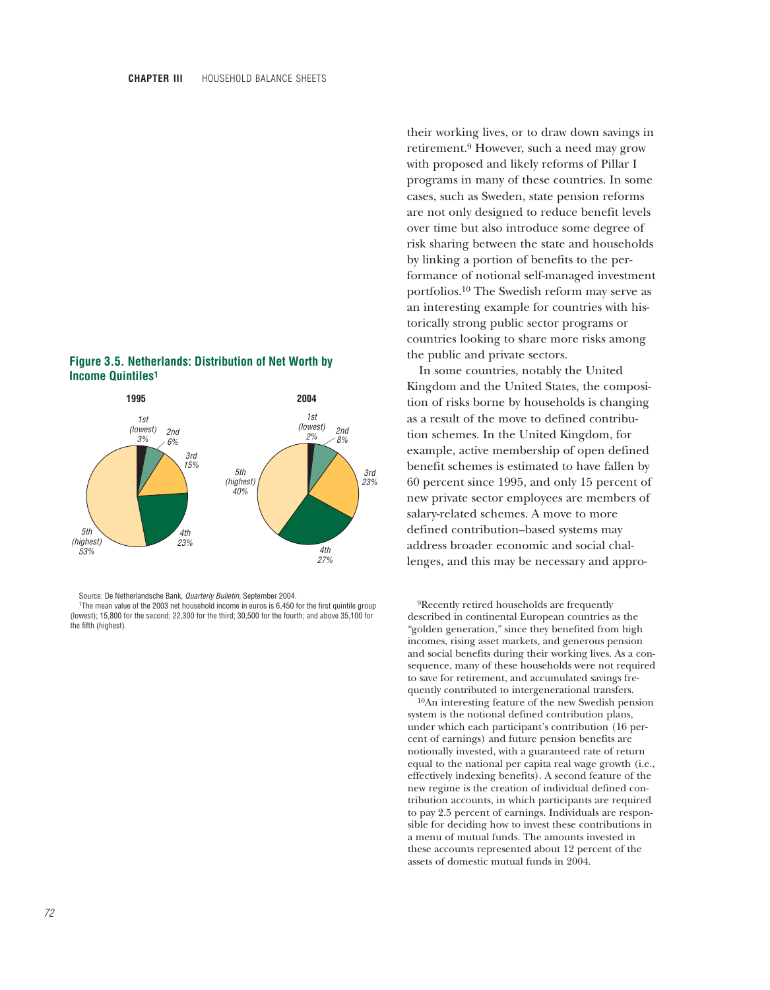



Source: De Netherlandsche Bank, Quarterly Bulletin, September 2004.

<sup>1</sup>The mean value of the 2003 net household income in euros is 6,450 for the first quintile group (lowest); 15,800 for the second; 22,300 for the third; 30,500 for the fourth; and above 35,100 for the fifth (highest).

their working lives, or to draw down savings in retirement.9 However, such a need may grow with proposed and likely reforms of Pillar I programs in many of these countries. In some cases, such as Sweden, state pension reforms are not only designed to reduce benefit levels over time but also introduce some degree of risk sharing between the state and households by linking a portion of benefits to the performance of notional self-managed investment portfolios.10 The Swedish reform may serve as an interesting example for countries with historically strong public sector programs or countries looking to share more risks among the public and private sectors.

In some countries, notably the United Kingdom and the United States, the composition of risks borne by households is changing as a result of the move to defined contribution schemes. In the United Kingdom, for example, active membership of open defined benefit schemes is estimated to have fallen by 60 percent since 1995, and only 15 percent of new private sector employees are members of salary-related schemes. A move to more defined contribution–based systems may address broader economic and social challenges, and this may be necessary and appro-

9Recently retired households are frequently described in continental European countries as the "golden generation," since they benefited from high incomes, rising asset markets, and generous pension and social benefits during their working lives. As a consequence, many of these households were not required to save for retirement, and accumulated savings frequently contributed to intergenerational transfers.

10An interesting feature of the new Swedish pension system is the notional defined contribution plans, under which each participant's contribution (16 percent of earnings) and future pension benefits are notionally invested, with a guaranteed rate of return equal to the national per capita real wage growth (i.e., effectively indexing benefits). A second feature of the new regime is the creation of individual defined contribution accounts, in which participants are required to pay 2.5 percent of earnings. Individuals are responsible for deciding how to invest these contributions in a menu of mutual funds. The amounts invested in these accounts represented about 12 percent of the assets of domestic mutual funds in 2004.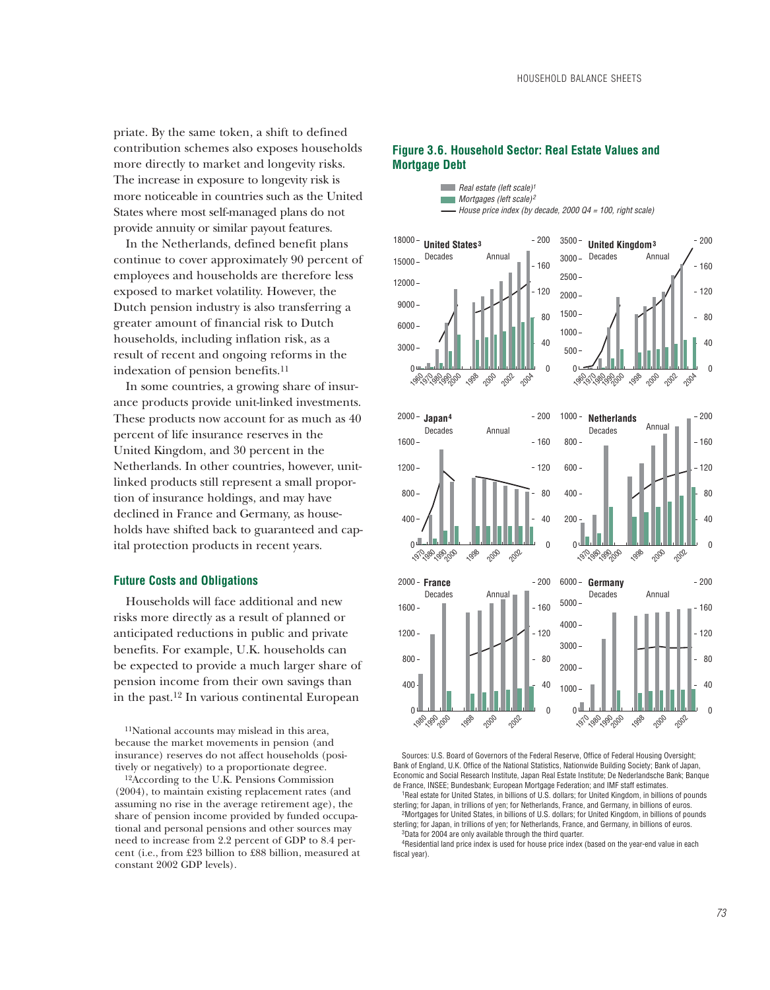priate. By the same token, a shift to defined contribution schemes also exposes households more directly to market and longevity risks. The increase in exposure to longevity risk is more noticeable in countries such as the United States where most self-managed plans do not provide annuity or similar payout features.

In the Netherlands, defined benefit plans continue to cover approximately 90 percent of employees and households are therefore less exposed to market volatility. However, the Dutch pension industry is also transferring a greater amount of financial risk to Dutch households, including inflation risk, as a result of recent and ongoing reforms in the indexation of pension benefits.11

In some countries, a growing share of insurance products provide unit-linked investments. These products now account for as much as 40 percent of life insurance reserves in the United Kingdom, and 30 percent in the Netherlands. In other countries, however, unitlinked products still represent a small proportion of insurance holdings, and may have declined in France and Germany, as households have shifted back to guaranteed and capital protection products in recent years.

#### **Future Costs and Obligations**

Households will face additional and new risks more directly as a result of planned or anticipated reductions in public and private benefits. For example, U.K. households can be expected to provide a much larger share of pension income from their own savings than in the past.12 In various continental European

11National accounts may mislead in this area, because the market movements in pension (and insurance) reserves do not affect households (positively or negatively) to a proportionate degree.

12According to the U.K. Pensions Commission (2004), to maintain existing replacement rates (and assuming no rise in the average retirement age), the share of pension income provided by funded occupational and personal pensions and other sources may need to increase from 2.2 percent of GDP to 8.4 percent (i.e., from £23 billion to £88 billion, measured at constant 2002 GDP levels).

## **Figure 3.6. Household Sector: Real Estate Values and Mortgage Debt**

- House price index (by decade, 2000 Q4 = 100, right scale)



Real estate (left scale)<sup>1</sup> **Mortgages** (left scale)<sup>2</sup>









Sources: U.S. Board of Governors of the Federal Reserve, Office of Federal Housing Oversight; Bank of England, U.K. Office of the National Statistics, Nationwide Building Society; Bank of Japan, Economic and Social Research Institute, Japan Real Estate Institute; De Nederlandsche Bank; Banque de France, INSEE; Bundesbank; European Mortgage Federation; and IMF staff estimates.

1Real estate for United States, in billions of U.S. dollars; for United Kingdom, in billions of pounds sterling; for Japan, in trillions of yen; for Netherlands, France, and Germany, in billions of euros. 2Mortgages for United States, in billions of U.S. dollars; for United Kingdom, in billions of pounds sterling; for Japan, in trillions of yen; for Netherlands, France, and Germany, in billions of euros.

3Data for 2004 are only available through the third quarter.

4Residential land price index is used for house price index (based on the year-end value in each fiscal year).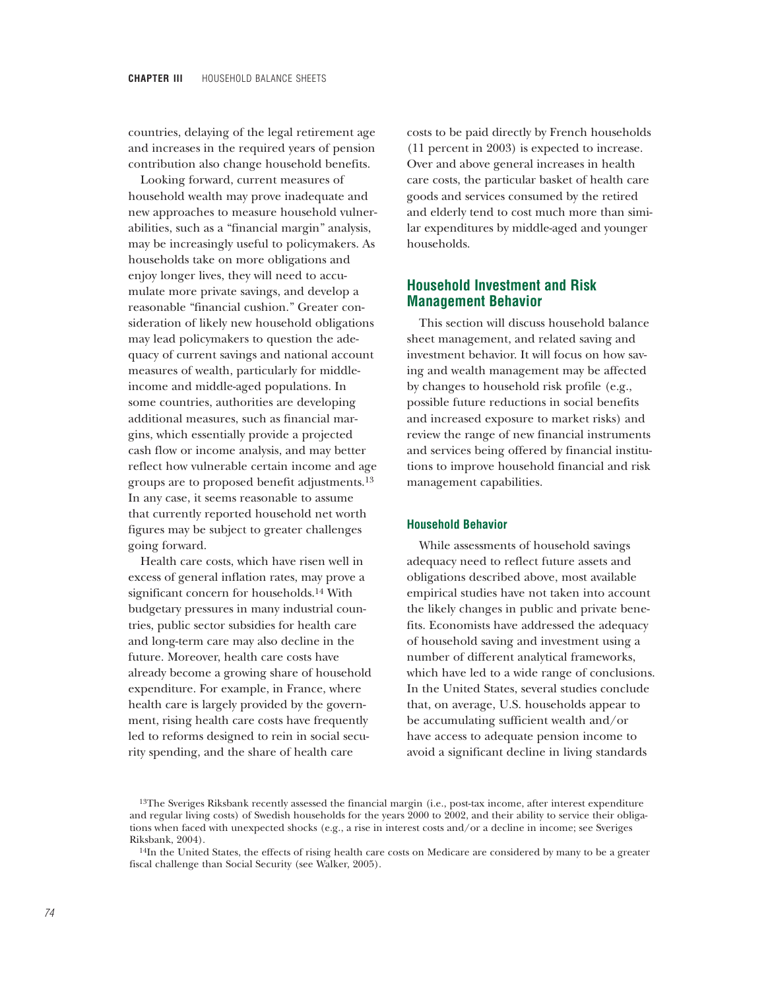countries, delaying of the legal retirement age and increases in the required years of pension contribution also change household benefits.

Looking forward, current measures of household wealth may prove inadequate and new approaches to measure household vulnerabilities, such as a "financial margin" analysis, may be increasingly useful to policymakers. As households take on more obligations and enjoy longer lives, they will need to accumulate more private savings, and develop a reasonable "financial cushion." Greater consideration of likely new household obligations may lead policymakers to question the adequacy of current savings and national account measures of wealth, particularly for middleincome and middle-aged populations. In some countries, authorities are developing additional measures, such as financial margins, which essentially provide a projected cash flow or income analysis, and may better reflect how vulnerable certain income and age groups are to proposed benefit adjustments.13 In any case, it seems reasonable to assume that currently reported household net worth figures may be subject to greater challenges going forward.

Health care costs, which have risen well in excess of general inflation rates, may prove a significant concern for households.14 With budgetary pressures in many industrial countries, public sector subsidies for health care and long-term care may also decline in the future. Moreover, health care costs have already become a growing share of household expenditure. For example, in France, where health care is largely provided by the government, rising health care costs have frequently led to reforms designed to rein in social security spending, and the share of health care

costs to be paid directly by French households (11 percent in 2003) is expected to increase. Over and above general increases in health care costs, the particular basket of health care goods and services consumed by the retired and elderly tend to cost much more than similar expenditures by middle-aged and younger households.

# **Household Investment and Risk Management Behavior**

This section will discuss household balance sheet management, and related saving and investment behavior. It will focus on how saving and wealth management may be affected by changes to household risk profile (e.g., possible future reductions in social benefits and increased exposure to market risks) and review the range of new financial instruments and services being offered by financial institutions to improve household financial and risk management capabilities.

#### **Household Behavior**

While assessments of household savings adequacy need to reflect future assets and obligations described above, most available empirical studies have not taken into account the likely changes in public and private benefits. Economists have addressed the adequacy of household saving and investment using a number of different analytical frameworks, which have led to a wide range of conclusions. In the United States, several studies conclude that, on average, U.S. households appear to be accumulating sufficient wealth and/or have access to adequate pension income to avoid a significant decline in living standards

<sup>&</sup>lt;sup>13</sup>The Sveriges Riksbank recently assessed the financial margin (i.e., post-tax income, after interest expenditure and regular living costs) of Swedish households for the years 2000 to 2002, and their ability to service their obligations when faced with unexpected shocks (e.g., a rise in interest costs and/or a decline in income; see Sveriges Riksbank, 2004).

<sup>14</sup>In the United States, the effects of rising health care costs on Medicare are considered by many to be a greater fiscal challenge than Social Security (see Walker, 2005).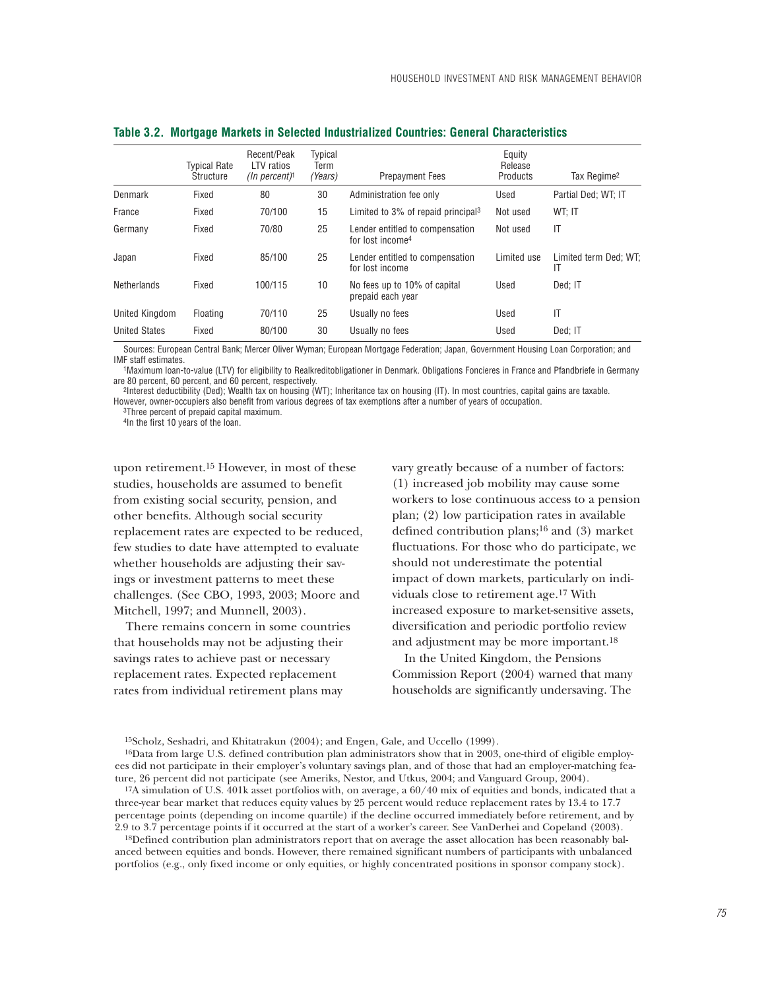|                      | <b>Typical Rate</b><br><b>Structure</b> | Recent/Peak<br>LTV ratios<br>$($ ln percent $)$ <sup>1</sup> | <b>Typical</b><br>Term<br>(Years) | <b>Prepayment Fees</b>                                          | Equity<br>Release<br>Products | Tax Regime <sup>2</sup>     |
|----------------------|-----------------------------------------|--------------------------------------------------------------|-----------------------------------|-----------------------------------------------------------------|-------------------------------|-----------------------------|
| Denmark              | Fixed                                   | 80                                                           | 30                                | Administration fee only                                         | Used                          | Partial Ded: WT: IT         |
| France               | Fixed                                   | 70/100                                                       | 15                                | Limited to 3% of repaid principal <sup>3</sup>                  | Not used                      | WT: IT                      |
| Germany              | Fixed                                   | 70/80                                                        | 25                                | Lender entitled to compensation<br>for lost income <sup>4</sup> | Not used                      | ΙT                          |
| Japan                | Fixed                                   | 85/100                                                       | 25                                | Lender entitled to compensation<br>for lost income              | Limited use                   | Limited term Ded: WT:<br>ΙT |
| Netherlands          | Fixed                                   | 100/115                                                      | 10                                | No fees up to 10% of capital<br>prepaid each year               | Used                          | Ded: IT                     |
| United Kingdom       | Floating                                | 70/110                                                       | 25                                | Usually no fees                                                 | Used                          | ΙT                          |
| <b>United States</b> | Fixed                                   | 80/100                                                       | 30                                | Usually no fees                                                 | Used                          | Ded: IT                     |

**Table 3.2. Mortgage Markets in Selected Industrialized Countries: General Characteristics**

Sources: European Central Bank; Mercer Oliver Wyman; European Mortgage Federation; Japan, Government Housing Loan Corporation; and

1Maximum Ioan-to-value (LTV) for eligibility to Realkreditobligationer in Denmark. Obligations Foncieres in France and Pfandbriefe in Germany are 80 percent, 60 percent, and 60 percent, respectively.

2Interest deductibility (Ded); Wealth tax on housing (WT); Inheritance tax on housing (IT). In most countries, capital gains are taxable. However, owner-occupiers also benefit from various degrees of tax exemptions after a number of years of occupation.

3Three percent of prepaid capital maximum.

4In the first 10 years of the loan.

upon retirement.15 However, in most of these studies, households are assumed to benefit from existing social security, pension, and other benefits. Although social security replacement rates are expected to be reduced, few studies to date have attempted to evaluate whether households are adjusting their savings or investment patterns to meet these challenges. (See CBO, 1993, 2003; Moore and Mitchell, 1997; and Munnell, 2003).

There remains concern in some countries that households may not be adjusting their savings rates to achieve past or necessary replacement rates. Expected replacement rates from individual retirement plans may

vary greatly because of a number of factors: (1) increased job mobility may cause some workers to lose continuous access to a pension plan; (2) low participation rates in available defined contribution plans;<sup>16</sup> and  $(3)$  market fluctuations. For those who do participate, we should not underestimate the potential impact of down markets, particularly on individuals close to retirement age.17 With increased exposure to market-sensitive assets, diversification and periodic portfolio review and adjustment may be more important.18

In the United Kingdom, the Pensions Commission Report (2004) warned that many households are significantly undersaving. The

15Scholz, Seshadri, and Khitatrakun (2004); and Engen, Gale, and Uccello (1999).

16Data from large U.S. defined contribution plan administrators show that in 2003, one-third of eligible employees did not participate in their employer's voluntary savings plan, and of those that had an employer-matching feature, 26 percent did not participate (see Ameriks, Nestor, and Utkus, 2004; and Vanguard Group, 2004).

17A simulation of U.S. 401k asset portfolios with, on average, a 60/40 mix of equities and bonds, indicated that a three-year bear market that reduces equity values by 25 percent would reduce replacement rates by 13.4 to 17.7 percentage points (depending on income quartile) if the decline occurred immediately before retirement, and by 2.9 to 3.7 percentage points if it occurred at the start of a worker's career. See VanDerhei and Copeland (2003).

18Defined contribution plan administrators report that on average the asset allocation has been reasonably balanced between equities and bonds. However, there remained significant numbers of participants with unbalanced portfolios (e.g., only fixed income or only equities, or highly concentrated positions in sponsor company stock).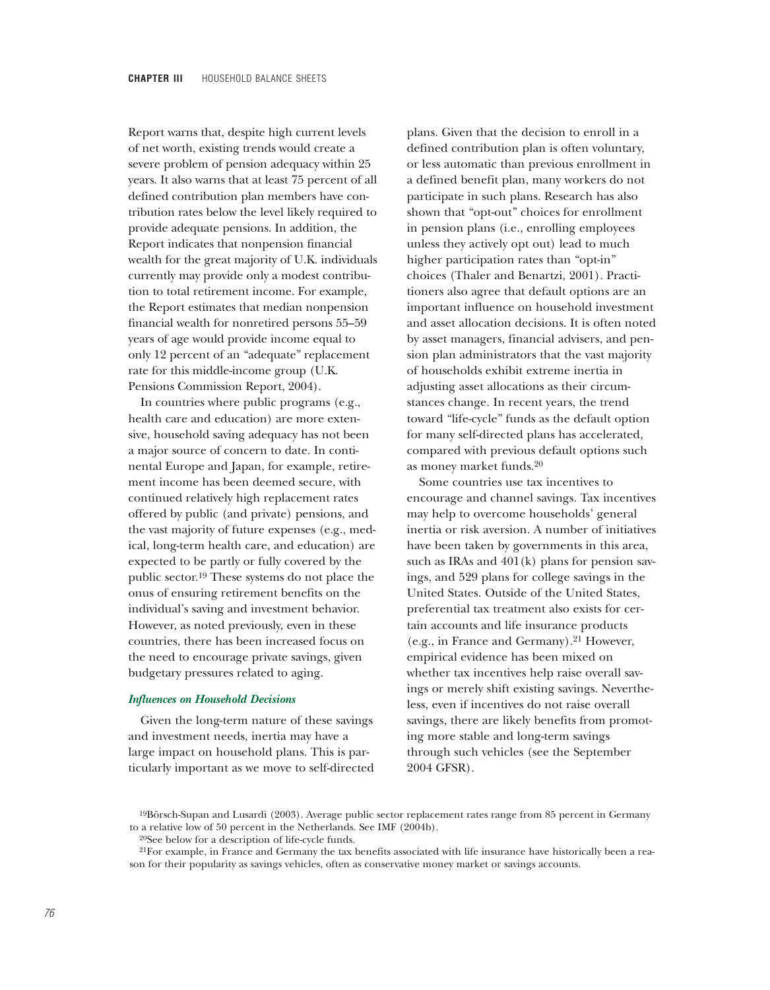Report warns that, despite high current levels of net worth, existing trends would create a severe problem of pension adequacy within 25 years. It also warns that at least 75 percent of all defined contribution plan members have contribution rates below the level likely required to provide adequate pensions. In addition, the Report indicates that nonpension financial wealth for the great majority of U.K. individuals currently may provide only a modest contribution to total retirement income. For example, the Report estimates that median nonpension financial wealth for nonretired persons 55–59 years of age would provide income equal to only 12 percent of an "adequate" replacement rate for this middle-income group (U.K. Pensions Commission Report, 2004).

In countries where public programs (e.g., health care and education) are more extensive, household saving adequacy has not been a major source of concern to date. In continental Europe and Japan, for example, retirement income has been deemed secure, with continued relatively high replacement rates offered by public (and private) pensions, and the vast majority of future expenses (e.g., medical, long-term health care, and education) are expected to be partly or fully covered by the public sector.19 These systems do not place the onus of ensuring retirement benefits on the individual's saving and investment behavior. However, as noted previously, even in these countries, there has been increased focus on the need to encourage private savings, given budgetary pressures related to aging.

#### *Influences on Household Decisions*

Given the long-term nature of these savings and investment needs, inertia may have a large impact on household plans. This is particularly important as we move to self-directed

plans. Given that the decision to enroll in a defined contribution plan is often voluntary, or less automatic than previous enrollment in a defined benefit plan, many workers do not participate in such plans. Research has also shown that "opt-out" choices for enrollment in pension plans (i.e., enrolling employees unless they actively opt out) lead to much higher participation rates than "opt-in" choices (Thaler and Benartzi, 2001). Practitioners also agree that default options are an important influence on household investment and asset allocation decisions. It is often noted by asset managers, financial advisers, and pension plan administrators that the vast majority of households exhibit extreme inertia in adjusting asset allocations as their circumstances change. In recent years, the trend toward "life-cycle" funds as the default option for many self-directed plans has accelerated, compared with previous default options such as money market funds.20

Some countries use tax incentives to encourage and channel savings. Tax incentives may help to overcome households' general inertia or risk aversion. A number of initiatives have been taken by governments in this area, such as IRAs and 401(k) plans for pension savings, and 529 plans for college savings in the United States. Outside of the United States, preferential tax treatment also exists for certain accounts and life insurance products (e.g., in France and Germany).21 However, empirical evidence has been mixed on whether tax incentives help raise overall savings or merely shift existing savings. Nevertheless, even if incentives do not raise overall savings, there are likely benefits from promoting more stable and long-term savings through such vehicles (see the September 2004 GFSR).

<sup>19</sup>Börsch-Supan and Lusardi (2003). Average public sector replacement rates range from 85 percent in Germany to a relative low of 50 percent in the Netherlands. See IMF (2004b).

<sup>20</sup>See below for a description of life-cycle funds.

 $21$ For example, in France and Germany the tax benefits associated with life insurance have historically been a reason for their popularity as savings vehicles, often as conservative money market or savings accounts.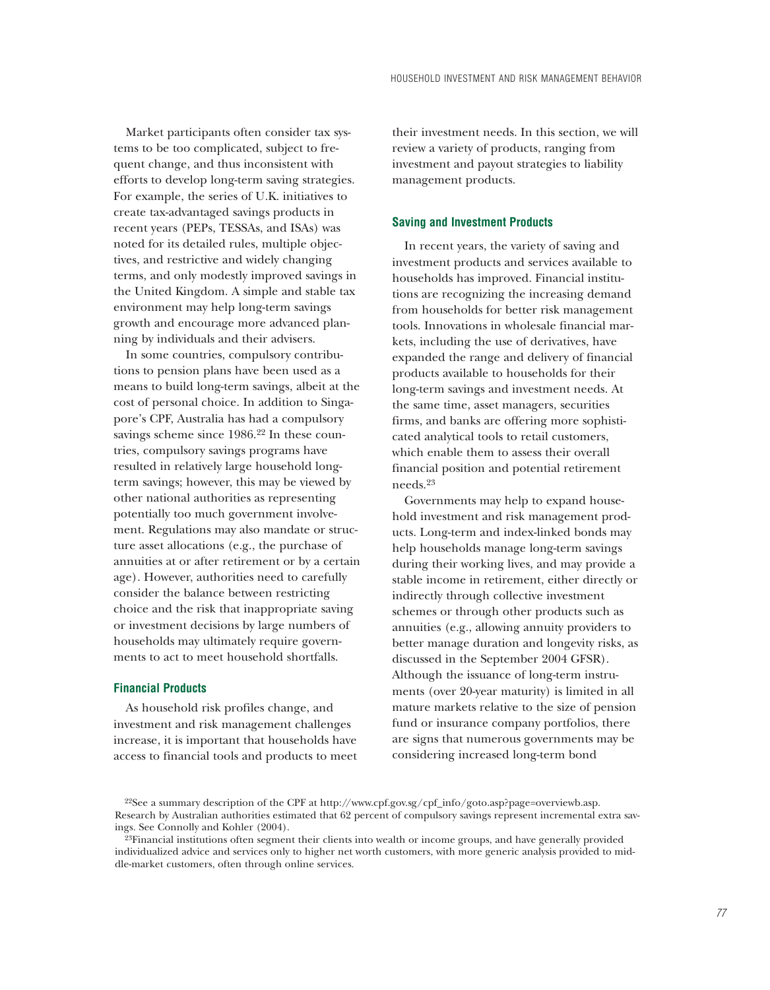Market participants often consider tax systems to be too complicated, subject to frequent change, and thus inconsistent with efforts to develop long-term saving strategies. For example, the series of U.K. initiatives to create tax-advantaged savings products in recent years (PEPs, TESSAs, and ISAs) was noted for its detailed rules, multiple objectives, and restrictive and widely changing terms, and only modestly improved savings in the United Kingdom. A simple and stable tax environment may help long-term savings growth and encourage more advanced planning by individuals and their advisers.

In some countries, compulsory contributions to pension plans have been used as a means to build long-term savings, albeit at the cost of personal choice. In addition to Singapore's CPF, Australia has had a compulsory savings scheme since 1986.22 In these countries, compulsory savings programs have resulted in relatively large household longterm savings; however, this may be viewed by other national authorities as representing potentially too much government involvement. Regulations may also mandate or structure asset allocations (e.g., the purchase of annuities at or after retirement or by a certain age). However, authorities need to carefully consider the balance between restricting choice and the risk that inappropriate saving or investment decisions by large numbers of households may ultimately require governments to act to meet household shortfalls.

#### **Financial Products**

As household risk profiles change, and investment and risk management challenges increase, it is important that households have access to financial tools and products to meet their investment needs. In this section, we will review a variety of products, ranging from investment and payout strategies to liability management products.

#### **Saving and Investment Products**

In recent years, the variety of saving and investment products and services available to households has improved. Financial institutions are recognizing the increasing demand from households for better risk management tools. Innovations in wholesale financial markets, including the use of derivatives, have expanded the range and delivery of financial products available to households for their long-term savings and investment needs. At the same time, asset managers, securities firms, and banks are offering more sophisticated analytical tools to retail customers, which enable them to assess their overall financial position and potential retirement needs.23

Governments may help to expand household investment and risk management products. Long-term and index-linked bonds may help households manage long-term savings during their working lives, and may provide a stable income in retirement, either directly or indirectly through collective investment schemes or through other products such as annuities (e.g., allowing annuity providers to better manage duration and longevity risks, as discussed in the September 2004 GFSR). Although the issuance of long-term instruments (over 20-year maturity) is limited in all mature markets relative to the size of pension fund or insurance company portfolios, there are signs that numerous governments may be considering increased long-term bond

<sup>22</sup>See a summary description of the CPF at http://www.cpf.gov.sg/cpf\_info/goto.asp?page=overviewb.asp. Research by Australian authorities estimated that 62 percent of compulsory savings represent incremental extra savings. See Connolly and Kohler (2004).

<sup>&</sup>lt;sup>23</sup>Financial institutions often segment their clients into wealth or income groups, and have generally provided individualized advice and services only to higher net worth customers, with more generic analysis provided to middle-market customers, often through online services.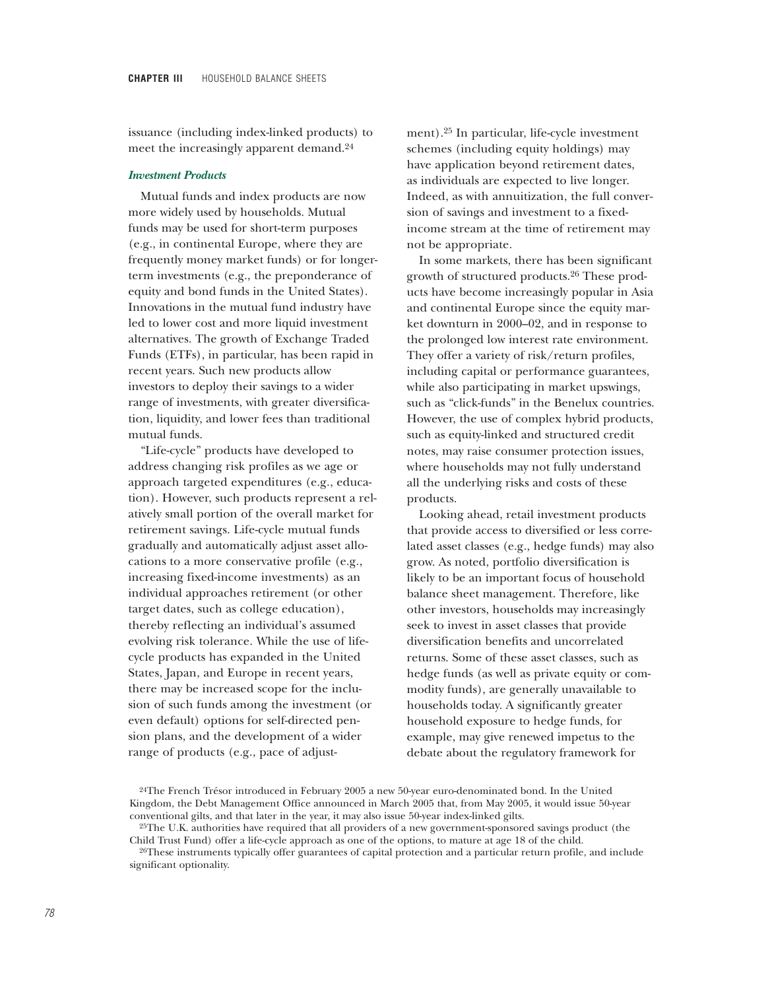issuance (including index-linked products) to meet the increasingly apparent demand.24

## *Investment Products*

Mutual funds and index products are now more widely used by households. Mutual funds may be used for short-term purposes (e.g., in continental Europe, where they are frequently money market funds) or for longerterm investments (e.g., the preponderance of equity and bond funds in the United States). Innovations in the mutual fund industry have led to lower cost and more liquid investment alternatives. The growth of Exchange Traded Funds (ETFs), in particular, has been rapid in recent years. Such new products allow investors to deploy their savings to a wider range of investments, with greater diversification, liquidity, and lower fees than traditional mutual funds.

"Life-cycle" products have developed to address changing risk profiles as we age or approach targeted expenditures (e.g., education). However, such products represent a relatively small portion of the overall market for retirement savings. Life-cycle mutual funds gradually and automatically adjust asset allocations to a more conservative profile (e.g., increasing fixed-income investments) as an individual approaches retirement (or other target dates, such as college education), thereby reflecting an individual's assumed evolving risk tolerance. While the use of lifecycle products has expanded in the United States, Japan, and Europe in recent years, there may be increased scope for the inclusion of such funds among the investment (or even default) options for self-directed pension plans, and the development of a wider range of products (e.g., pace of adjust-

ment).25 In particular, life-cycle investment schemes (including equity holdings) may have application beyond retirement dates, as individuals are expected to live longer. Indeed, as with annuitization, the full conversion of savings and investment to a fixedincome stream at the time of retirement may not be appropriate.

In some markets, there has been significant growth of structured products.26 These products have become increasingly popular in Asia and continental Europe since the equity market downturn in 2000–02, and in response to the prolonged low interest rate environment. They offer a variety of risk/return profiles, including capital or performance guarantees, while also participating in market upswings, such as "click-funds" in the Benelux countries. However, the use of complex hybrid products, such as equity-linked and structured credit notes, may raise consumer protection issues, where households may not fully understand all the underlying risks and costs of these products.

Looking ahead, retail investment products that provide access to diversified or less correlated asset classes (e.g., hedge funds) may also grow. As noted, portfolio diversification is likely to be an important focus of household balance sheet management. Therefore, like other investors, households may increasingly seek to invest in asset classes that provide diversification benefits and uncorrelated returns. Some of these asset classes, such as hedge funds (as well as private equity or commodity funds), are generally unavailable to households today. A significantly greater household exposure to hedge funds, for example, may give renewed impetus to the debate about the regulatory framework for

<sup>&</sup>lt;sup>24</sup>The French Trésor introduced in February 2005 a new 50-year euro-denominated bond. In the United Kingdom, the Debt Management Office announced in March 2005 that, from May 2005, it would issue 50-year conventional gilts, and that later in the year, it may also issue 50-year index-linked gilts. 25The U.K. authorities have required that all providers of a new government-sponsored savings product (the

Child Trust Fund) offer a life-cycle approach as one of the options, to mature at age 18 of the child.

<sup>&</sup>lt;sup>26</sup>These instruments typically offer guarantees of capital protection and a particular return profile, and include significant optionality.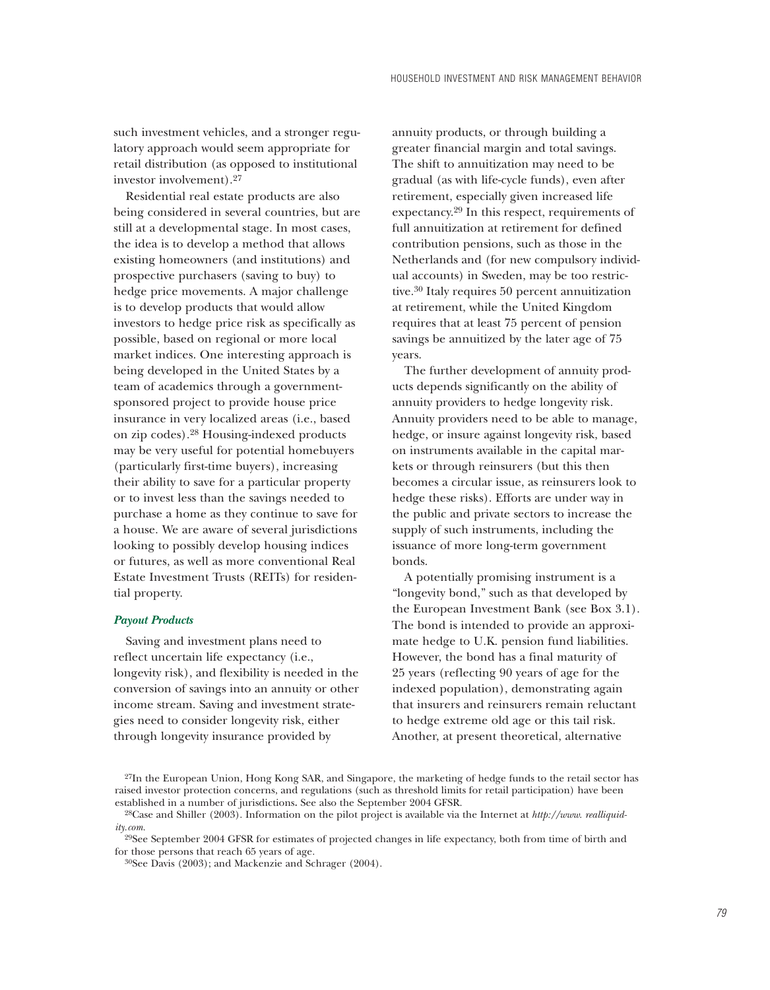such investment vehicles, and a stronger regulatory approach would seem appropriate for retail distribution (as opposed to institutional investor involvement).27

Residential real estate products are also being considered in several countries, but are still at a developmental stage. In most cases, the idea is to develop a method that allows existing homeowners (and institutions) and prospective purchasers (saving to buy) to hedge price movements. A major challenge is to develop products that would allow investors to hedge price risk as specifically as possible, based on regional or more local market indices. One interesting approach is being developed in the United States by a team of academics through a governmentsponsored project to provide house price insurance in very localized areas (i.e., based on zip codes).28 Housing-indexed products may be very useful for potential homebuyers (particularly first-time buyers), increasing their ability to save for a particular property or to invest less than the savings needed to purchase a home as they continue to save for a house. We are aware of several jurisdictions looking to possibly develop housing indices or futures, as well as more conventional Real Estate Investment Trusts (REITs) for residential property.

### *Payout Products*

Saving and investment plans need to reflect uncertain life expectancy (i.e., longevity risk), and flexibility is needed in the conversion of savings into an annuity or other income stream. Saving and investment strategies need to consider longevity risk, either through longevity insurance provided by

annuity products, or through building a greater financial margin and total savings. The shift to annuitization may need to be gradual (as with life-cycle funds), even after retirement, especially given increased life expectancy.29 In this respect, requirements of full annuitization at retirement for defined contribution pensions, such as those in the Netherlands and (for new compulsory individual accounts) in Sweden, may be too restrictive.30 Italy requires 50 percent annuitization at retirement, while the United Kingdom requires that at least 75 percent of pension savings be annuitized by the later age of 75 years.

The further development of annuity products depends significantly on the ability of annuity providers to hedge longevity risk. Annuity providers need to be able to manage, hedge, or insure against longevity risk, based on instruments available in the capital markets or through reinsurers (but this then becomes a circular issue, as reinsurers look to hedge these risks). Efforts are under way in the public and private sectors to increase the supply of such instruments, including the issuance of more long-term government bonds.

A potentially promising instrument is a "longevity bond," such as that developed by the European Investment Bank (see Box 3.1). The bond is intended to provide an approximate hedge to U.K. pension fund liabilities. However, the bond has a final maturity of 25 years (reflecting 90 years of age for the indexed population), demonstrating again that insurers and reinsurers remain reluctant to hedge extreme old age or this tail risk. Another, at present theoretical, alternative

<sup>27</sup>In the European Union, Hong Kong SAR, and Singapore, the marketing of hedge funds to the retail sector has raised investor protection concerns, and regulations (such as threshold limits for retail participation) have been established in a number of jurisdictions*.* See also the September 2004 GFSR.

<sup>28</sup>Case and Shiller (2003). Information on the pilot project is available via the Internet at *http://www. realliquidity.com.*

<sup>29</sup>See September 2004 GFSR for estimates of projected changes in life expectancy, both from time of birth and for those persons that reach 65 years of age.

<sup>30</sup>See Davis (2003); and Mackenzie and Schrager (2004).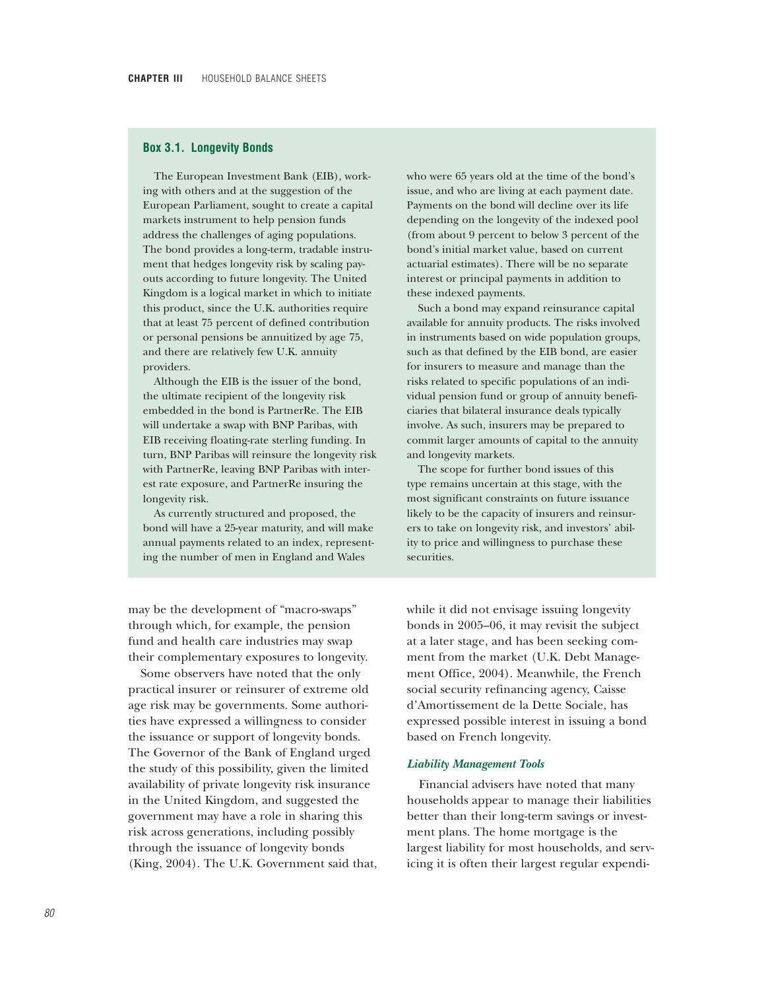### **Box 3.1. Longevity Bonds**

The European Investment Bank (EIB), working with others and at the suggestion of the European Parliament, sought to create a capital markets instrument to help pension funds address the challenges of aging populations. The bond provides a long-term, tradable instrument that hedges longevity risk by scaling payouts according to future longevity. The United Kingdom is a logical market in which to initiate this product, since the U.K. authorities require that at least 75 percent of defined contribution or personal pensions be annuitized by age 75, and there are relatively few U.K. annuity providers.

Although the EIB is the issuer of the bond, the ultimate recipient of the longevity risk embedded in the bond is PartnerRe. The EIB will undertake a swap with BNP Paribas, with EIB receiving floating-rate sterling funding. In turn, BNP Paribas will reinsure the longevity risk with PartnerRe, leaving BNP Paribas with interest rate exposure, and PartnerRe insuring the longevity risk.

As currently structured and proposed, the bond will have a 25-year maturity, and will make annual payments related to an index, representing the number of men in England and Wales

who were 65 years old at the time of the bond's issue, and who are living at each payment date. Payments on the bond will decline over its life depending on the longevity of the indexed pool (from about 9 percent to below 3 percent of the bond's initial market value, based on current actuarial estimates). There will be no separate interest or principal payments in addition to these indexed payments.

Such a bond may expand reinsurance capital available for annuity products. The risks involved in instruments based on wide population groups, such as that defined by the EIB bond, are easier for insurers to measure and manage than the risks related to specific populations of an individual pension fund or group of annuity beneficiaries that bilateral insurance deals typically involve. As such, insurers may be prepared to commit larger amounts of capital to the annuity and longevity markets.

The scope for further bond issues of this type remains uncertain at this stage, with the most significant constraints on future issuance likely to be the capacity of insurers and reinsurers to take on longevity risk, and investors' ability to price and willingness to purchase these securities.

may be the development of "macro-swaps" through which, for example, the pension fund and health care industries may swap their complementary exposures to longevity.

Some observers have noted that the only practical insurer or reinsurer of extreme old age risk may be governments. Some authorities have expressed a willingness to consider the issuance or support of longevity bonds. The Governor of the Bank of England urged the study of this possibility, given the limited availability of private longevity risk insurance in the United Kingdom, and suggested the government may have a role in sharing this risk across generations, including possibly through the issuance of longevity bonds (King, 2004). The U.K. Government said that, while it did not envisage issuing longevity bonds in 2005–06, it may revisit the subject at a later stage, and has been seeking comment from the market (U.K. Debt Management Office, 2004). Meanwhile, the French social security refinancing agency, Caisse d'Amortissement de la Dette Sociale, has expressed possible interest in issuing a bond based on French longevity.

#### *Liability Management Tools*

Financial advisers have noted that many households appear to manage their liabilities better than their long-term savings or investment plans. The home mortgage is the largest liability for most households, and servicing it is often their largest regular expendi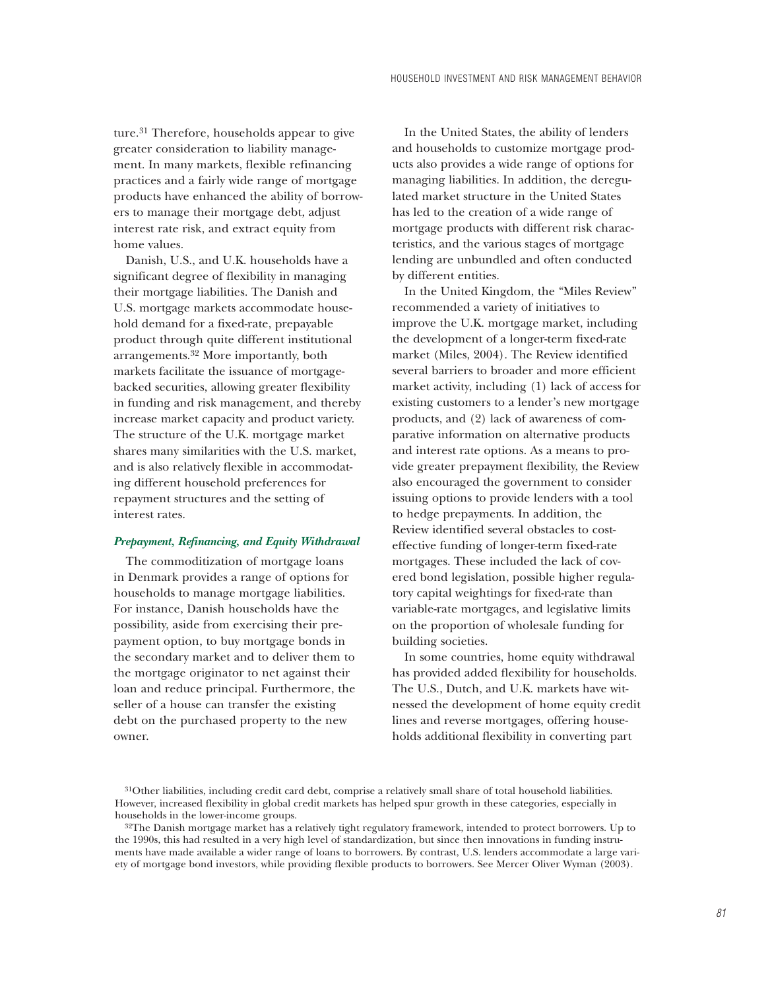ture.31 Therefore, households appear to give greater consideration to liability management. In many markets, flexible refinancing practices and a fairly wide range of mortgage products have enhanced the ability of borrowers to manage their mortgage debt, adjust interest rate risk, and extract equity from home values.

Danish, U.S., and U.K. households have a significant degree of flexibility in managing their mortgage liabilities. The Danish and U.S. mortgage markets accommodate household demand for a fixed-rate, prepayable product through quite different institutional arrangements.32 More importantly, both markets facilitate the issuance of mortgagebacked securities, allowing greater flexibility in funding and risk management, and thereby increase market capacity and product variety. The structure of the U.K. mortgage market shares many similarities with the U.S. market, and is also relatively flexible in accommodating different household preferences for repayment structures and the setting of interest rates.

## *Prepayment, Refinancing, and Equity Withdrawal*

The commoditization of mortgage loans in Denmark provides a range of options for households to manage mortgage liabilities. For instance, Danish households have the possibility, aside from exercising their prepayment option, to buy mortgage bonds in the secondary market and to deliver them to the mortgage originator to net against their loan and reduce principal. Furthermore, the seller of a house can transfer the existing debt on the purchased property to the new owner.

In the United States, the ability of lenders and households to customize mortgage products also provides a wide range of options for managing liabilities. In addition, the deregulated market structure in the United States has led to the creation of a wide range of mortgage products with different risk characteristics, and the various stages of mortgage lending are unbundled and often conducted by different entities.

In the United Kingdom, the "Miles Review" recommended a variety of initiatives to improve the U.K. mortgage market, including the development of a longer-term fixed-rate market (Miles, 2004). The Review identified several barriers to broader and more efficient market activity, including (1) lack of access for existing customers to a lender's new mortgage products, and (2) lack of awareness of comparative information on alternative products and interest rate options. As a means to provide greater prepayment flexibility, the Review also encouraged the government to consider issuing options to provide lenders with a tool to hedge prepayments. In addition, the Review identified several obstacles to costeffective funding of longer-term fixed-rate mortgages. These included the lack of covered bond legislation, possible higher regulatory capital weightings for fixed-rate than variable-rate mortgages, and legislative limits on the proportion of wholesale funding for building societies.

In some countries, home equity withdrawal has provided added flexibility for households. The U.S., Dutch, and U.K. markets have witnessed the development of home equity credit lines and reverse mortgages, offering households additional flexibility in converting part

<sup>31</sup>Other liabilities, including credit card debt, comprise a relatively small share of total household liabilities. However, increased flexibility in global credit markets has helped spur growth in these categories, especially in households in the lower-income groups.

<sup>&</sup>lt;sup>32</sup>The Danish mortgage market has a relatively tight regulatory framework, intended to protect borrowers. Up to the 1990s, this had resulted in a very high level of standardization, but since then innovations in funding instruments have made available a wider range of loans to borrowers. By contrast, U.S. lenders accommodate a large variety of mortgage bond investors, while providing flexible products to borrowers. See Mercer Oliver Wyman (2003).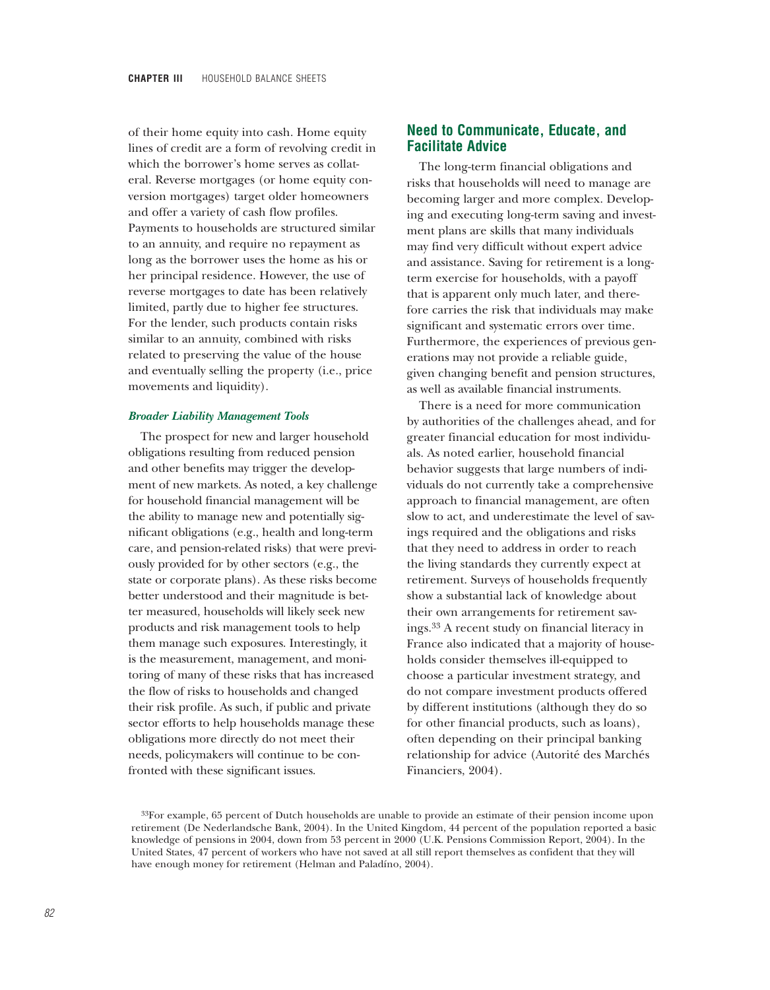of their home equity into cash. Home equity lines of credit are a form of revolving credit in which the borrower's home serves as collateral. Reverse mortgages (or home equity conversion mortgages) target older homeowners and offer a variety of cash flow profiles. Payments to households are structured similar to an annuity, and require no repayment as long as the borrower uses the home as his or her principal residence. However, the use of reverse mortgages to date has been relatively limited, partly due to higher fee structures. For the lender, such products contain risks similar to an annuity, combined with risks related to preserving the value of the house and eventually selling the property (i.e., price movements and liquidity).

#### *Broader Liability Management Tools*

The prospect for new and larger household obligations resulting from reduced pension and other benefits may trigger the development of new markets. As noted, a key challenge for household financial management will be the ability to manage new and potentially significant obligations (e.g., health and long-term care, and pension-related risks) that were previously provided for by other sectors (e.g., the state or corporate plans). As these risks become better understood and their magnitude is better measured, households will likely seek new products and risk management tools to help them manage such exposures. Interestingly, it is the measurement, management, and monitoring of many of these risks that has increased the flow of risks to households and changed their risk profile. As such, if public and private sector efforts to help households manage these obligations more directly do not meet their needs, policymakers will continue to be confronted with these significant issues.

# **Need to Communicate, Educate, and Facilitate Advice**

The long-term financial obligations and risks that households will need to manage are becoming larger and more complex. Developing and executing long-term saving and investment plans are skills that many individuals may find very difficult without expert advice and assistance. Saving for retirement is a longterm exercise for households, with a payoff that is apparent only much later, and therefore carries the risk that individuals may make significant and systematic errors over time. Furthermore, the experiences of previous generations may not provide a reliable guide, given changing benefit and pension structures, as well as available financial instruments.

There is a need for more communication by authorities of the challenges ahead, and for greater financial education for most individuals. As noted earlier, household financial behavior suggests that large numbers of individuals do not currently take a comprehensive approach to financial management, are often slow to act, and underestimate the level of savings required and the obligations and risks that they need to address in order to reach the living standards they currently expect at retirement. Surveys of households frequently show a substantial lack of knowledge about their own arrangements for retirement savings.33 A recent study on financial literacy in France also indicated that a majority of households consider themselves ill-equipped to choose a particular investment strategy, and do not compare investment products offered by different institutions (although they do so for other financial products, such as loans), often depending on their principal banking relationship for advice (Autorité des Marchés Financiers, 2004).

<sup>33</sup>For example, 65 percent of Dutch households are unable to provide an estimate of their pension income upon retirement (De Nederlandsche Bank, 2004). In the United Kingdom, 44 percent of the population reported a basic knowledge of pensions in 2004, down from 53 percent in 2000 (U.K. Pensions Commission Report, 2004). In the United States, 47 percent of workers who have not saved at all still report themselves as confident that they will have enough money for retirement (Helman and Paladíno, 2004).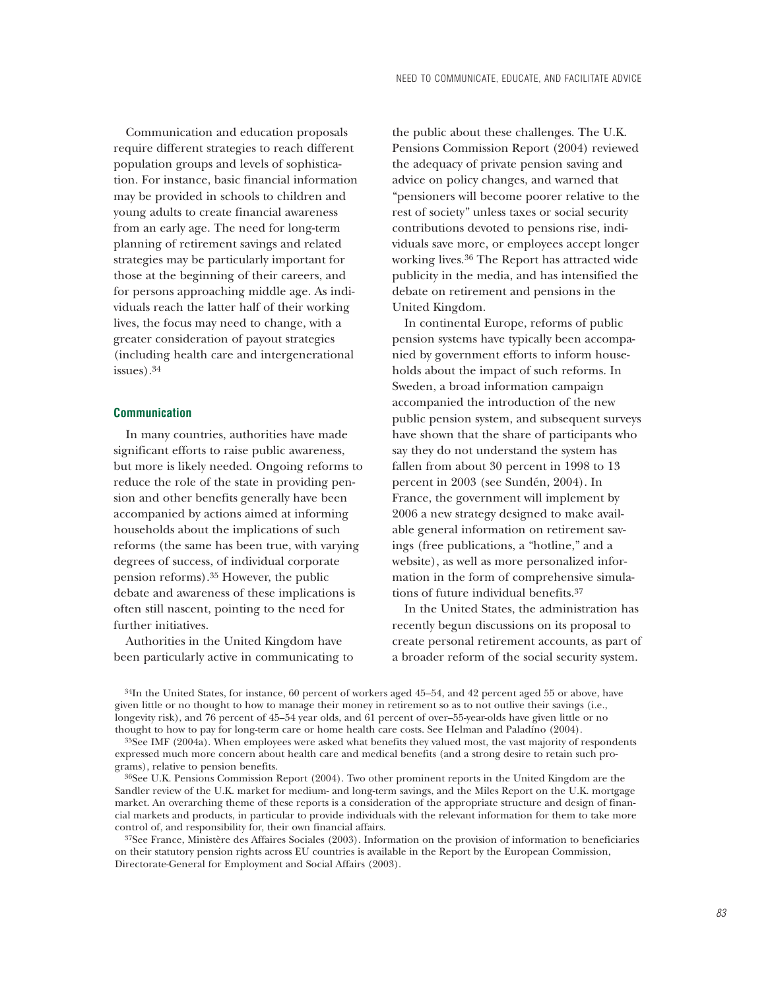Communication and education proposals require different strategies to reach different population groups and levels of sophistication. For instance, basic financial information may be provided in schools to children and young adults to create financial awareness from an early age. The need for long-term planning of retirement savings and related strategies may be particularly important for those at the beginning of their careers, and for persons approaching middle age. As individuals reach the latter half of their working lives, the focus may need to change, with a greater consideration of payout strategies (including health care and intergenerational issues).34

#### **Communication**

In many countries, authorities have made significant efforts to raise public awareness, but more is likely needed. Ongoing reforms to reduce the role of the state in providing pension and other benefits generally have been accompanied by actions aimed at informing households about the implications of such reforms (the same has been true, with varying degrees of success, of individual corporate pension reforms).35 However, the public debate and awareness of these implications is often still nascent, pointing to the need for further initiatives.

Authorities in the United Kingdom have been particularly active in communicating to

the public about these challenges. The U.K. Pensions Commission Report (2004) reviewed the adequacy of private pension saving and advice on policy changes, and warned that "pensioners will become poorer relative to the rest of society" unless taxes or social security contributions devoted to pensions rise, individuals save more, or employees accept longer working lives.36 The Report has attracted wide publicity in the media, and has intensified the debate on retirement and pensions in the United Kingdom.

In continental Europe, reforms of public pension systems have typically been accompanied by government efforts to inform households about the impact of such reforms. In Sweden, a broad information campaign accompanied the introduction of the new public pension system, and subsequent surveys have shown that the share of participants who say they do not understand the system has fallen from about 30 percent in 1998 to 13 percent in 2003 (see Sundén, 2004). In France, the government will implement by 2006 a new strategy designed to make available general information on retirement savings (free publications, a "hotline," and a website), as well as more personalized information in the form of comprehensive simulations of future individual benefits.37

In the United States, the administration has recently begun discussions on its proposal to create personal retirement accounts, as part of a broader reform of the social security system.

34In the United States, for instance, 60 percent of workers aged 45–54, and 42 percent aged 55 or above, have given little or no thought to how to manage their money in retirement so as to not outlive their savings (i.e., longevity risk), and 76 percent of 45–54 year olds, and 61 percent of over–55-year-olds have given little or no thought to how to pay for long-term care or home health care costs. See Helman and Paladíno (2004).

35See IMF (2004a). When employees were asked what benefits they valued most, the vast majority of respondents expressed much more concern about health care and medical benefits (and a strong desire to retain such programs), relative to pension benefits.

36See U.K. Pensions Commission Report (2004). Two other prominent reports in the United Kingdom are the Sandler review of the U.K. market for medium- and long-term savings, and the Miles Report on the U.K. mortgage market. An overarching theme of these reports is a consideration of the appropriate structure and design of financial markets and products, in particular to provide individuals with the relevant information for them to take more control of, and responsibility for, their own financial affairs.

 $37$ See France, Ministère des Affaires Sociales (2003). Information on the provision of information to beneficiaries on their statutory pension rights across EU countries is available in the Report by the European Commission, Directorate-General for Employment and Social Affairs (2003).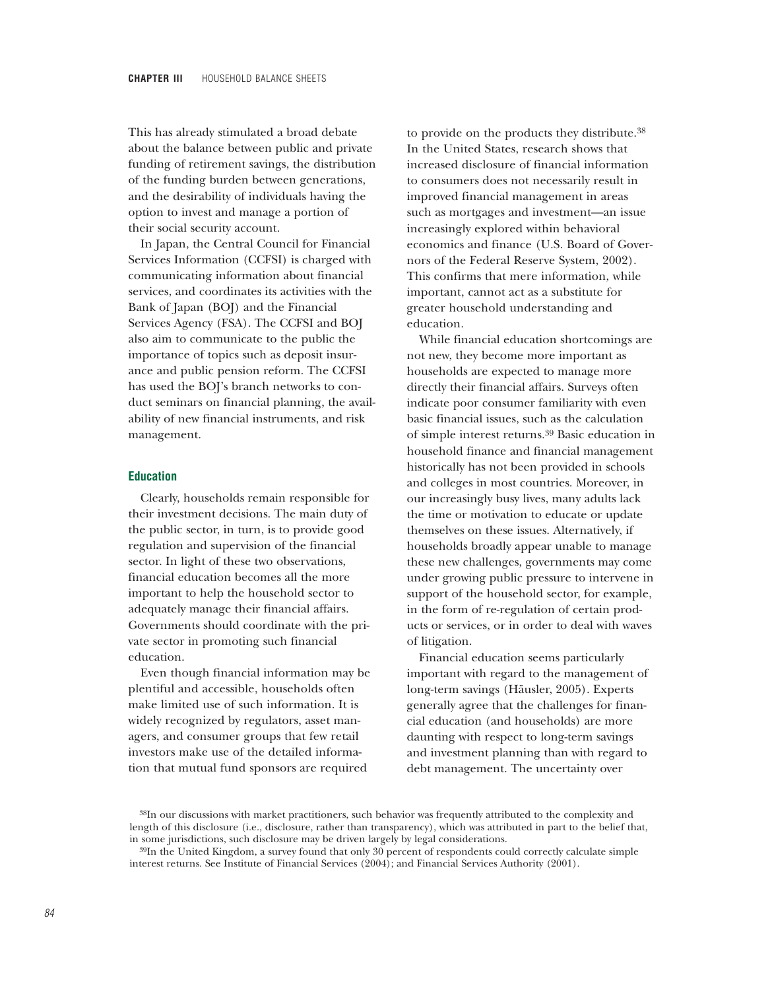This has already stimulated a broad debate about the balance between public and private funding of retirement savings, the distribution of the funding burden between generations, and the desirability of individuals having the option to invest and manage a portion of their social security account.

In Japan, the Central Council for Financial Services Information (CCFSI) is charged with communicating information about financial services, and coordinates its activities with the Bank of Japan (BOJ) and the Financial Services Agency (FSA). The CCFSI and BOJ also aim to communicate to the public the importance of topics such as deposit insurance and public pension reform. The CCFSI has used the BOJ's branch networks to conduct seminars on financial planning, the availability of new financial instruments, and risk management.

## **Education**

Clearly, households remain responsible for their investment decisions. The main duty of the public sector, in turn, is to provide good regulation and supervision of the financial sector. In light of these two observations, financial education becomes all the more important to help the household sector to adequately manage their financial affairs. Governments should coordinate with the private sector in promoting such financial education.

Even though financial information may be plentiful and accessible, households often make limited use of such information. It is widely recognized by regulators, asset managers, and consumer groups that few retail investors make use of the detailed information that mutual fund sponsors are required

to provide on the products they distribute.38 In the United States, research shows that increased disclosure of financial information to consumers does not necessarily result in improved financial management in areas such as mortgages and investment—an issue increasingly explored within behavioral economics and finance (U.S. Board of Governors of the Federal Reserve System, 2002). This confirms that mere information, while important, cannot act as a substitute for greater household understanding and education.

While financial education shortcomings are not new, they become more important as households are expected to manage more directly their financial affairs. Surveys often indicate poor consumer familiarity with even basic financial issues, such as the calculation of simple interest returns.39 Basic education in household finance and financial management historically has not been provided in schools and colleges in most countries. Moreover, in our increasingly busy lives, many adults lack the time or motivation to educate or update themselves on these issues. Alternatively, if households broadly appear unable to manage these new challenges, governments may come under growing public pressure to intervene in support of the household sector, for example, in the form of re-regulation of certain products or services, or in order to deal with waves of litigation.

Financial education seems particularly important with regard to the management of long-term savings (Häusler, 2005). Experts generally agree that the challenges for financial education (and households) are more daunting with respect to long-term savings and investment planning than with regard to debt management. The uncertainty over

<sup>38</sup>In our discussions with market practitioners, such behavior was frequently attributed to the complexity and length of this disclosure (i.e., disclosure, rather than transparency), which was attributed in part to the belief that, in some jurisdictions, such disclosure may be driven largely by legal considerations.

<sup>39</sup>In the United Kingdom, a survey found that only 30 percent of respondents could correctly calculate simple interest returns. See Institute of Financial Services (2004); and Financial Services Authority (2001).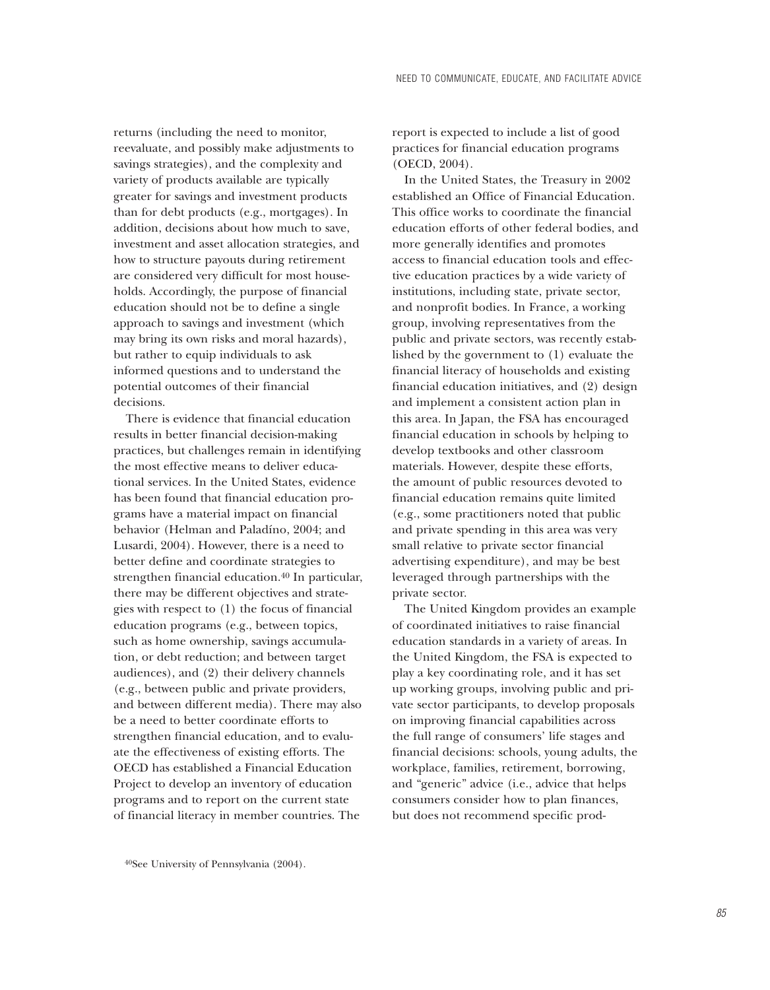returns (including the need to monitor, reevaluate, and possibly make adjustments to savings strategies), and the complexity and variety of products available are typically greater for savings and investment products than for debt products (e.g., mortgages). In addition, decisions about how much to save, investment and asset allocation strategies, and how to structure payouts during retirement are considered very difficult for most households. Accordingly, the purpose of financial education should not be to define a single approach to savings and investment (which may bring its own risks and moral hazards), but rather to equip individuals to ask informed questions and to understand the potential outcomes of their financial decisions.

There is evidence that financial education results in better financial decision-making practices, but challenges remain in identifying the most effective means to deliver educational services. In the United States, evidence has been found that financial education programs have a material impact on financial behavior (Helman and Paladíno, 2004; and Lusardi, 2004). However, there is a need to better define and coordinate strategies to strengthen financial education.40 In particular, there may be different objectives and strategies with respect to (1) the focus of financial education programs (e.g., between topics, such as home ownership, savings accumulation, or debt reduction; and between target audiences), and (2) their delivery channels (e.g., between public and private providers, and between different media). There may also be a need to better coordinate efforts to strengthen financial education, and to evaluate the effectiveness of existing efforts. The OECD has established a Financial Education Project to develop an inventory of education programs and to report on the current state of financial literacy in member countries. The

report is expected to include a list of good practices for financial education programs (OECD, 2004).

In the United States, the Treasury in 2002 established an Office of Financial Education. This office works to coordinate the financial education efforts of other federal bodies, and more generally identifies and promotes access to financial education tools and effective education practices by a wide variety of institutions, including state, private sector, and nonprofit bodies. In France, a working group, involving representatives from the public and private sectors, was recently established by the government to (1) evaluate the financial literacy of households and existing financial education initiatives, and (2) design and implement a consistent action plan in this area. In Japan, the FSA has encouraged financial education in schools by helping to develop textbooks and other classroom materials. However, despite these efforts, the amount of public resources devoted to financial education remains quite limited (e.g., some practitioners noted that public and private spending in this area was very small relative to private sector financial advertising expenditure), and may be best leveraged through partnerships with the private sector.

The United Kingdom provides an example of coordinated initiatives to raise financial education standards in a variety of areas. In the United Kingdom, the FSA is expected to play a key coordinating role, and it has set up working groups, involving public and private sector participants, to develop proposals on improving financial capabilities across the full range of consumers' life stages and financial decisions: schools, young adults, the workplace, families, retirement, borrowing, and "generic" advice (i.e., advice that helps consumers consider how to plan finances, but does not recommend specific prod-

<sup>40</sup>See University of Pennsylvania (2004).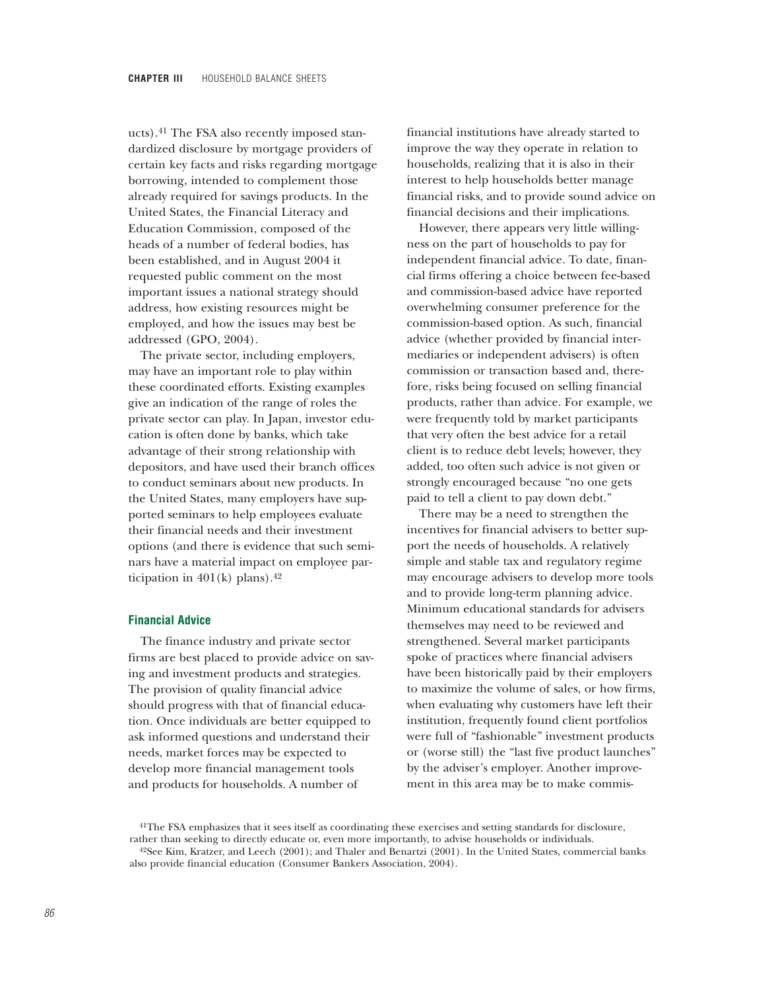ucts).41 The FSA also recently imposed standardized disclosure by mortgage providers of certain key facts and risks regarding mortgage borrowing, intended to complement those already required for savings products. In the United States, the Financial Literacy and Education Commission, composed of the heads of a number of federal bodies, has been established, and in August 2004 it requested public comment on the most important issues a national strategy should address, how existing resources might be employed, and how the issues may best be addressed (GPO, 2004).

The private sector, including employers, may have an important role to play within these coordinated efforts. Existing examples give an indication of the range of roles the private sector can play. In Japan, investor education is often done by banks, which take advantage of their strong relationship with depositors, and have used their branch offices to conduct seminars about new products. In the United States, many employers have supported seminars to help employees evaluate their financial needs and their investment options (and there is evidence that such seminars have a material impact on employee participation in  $401(k)$  plans).<sup>42</sup>

#### **Financial Advice**

The finance industry and private sector firms are best placed to provide advice on saving and investment products and strategies. The provision of quality financial advice should progress with that of financial education. Once individuals are better equipped to ask informed questions and understand their needs, market forces may be expected to develop more financial management tools and products for households. A number of

financial institutions have already started to improve the way they operate in relation to households, realizing that it is also in their interest to help households better manage financial risks, and to provide sound advice on financial decisions and their implications.

However, there appears very little willingness on the part of households to pay for independent financial advice. To date, financial firms offering a choice between fee-based and commission-based advice have reported overwhelming consumer preference for the commission-based option. As such, financial advice (whether provided by financial intermediaries or independent advisers) is often commission or transaction based and, therefore, risks being focused on selling financial products, rather than advice. For example, we were frequently told by market participants that very often the best advice for a retail client is to reduce debt levels; however, they added, too often such advice is not given or strongly encouraged because "no one gets paid to tell a client to pay down debt."

There may be a need to strengthen the incentives for financial advisers to better support the needs of households. A relatively simple and stable tax and regulatory regime may encourage advisers to develop more tools and to provide long-term planning advice. Minimum educational standards for advisers themselves may need to be reviewed and strengthened. Several market participants spoke of practices where financial advisers have been historically paid by their employers to maximize the volume of sales, or how firms, when evaluating why customers have left their institution, frequently found client portfolios were full of "fashionable" investment products or (worse still) the "last five product launches" by the adviser's employer. Another improvement in this area may be to make commis-

<sup>41</sup>The FSA emphasizes that it sees itself as coordinating these exercises and setting standards for disclosure,

rather than seeking to directly educate or, even more importantly, to advise households or individuals. 42See Kim, Kratzer, and Leech (2001); and Thaler and Benartzi (2001). In the United States, commercial banks

also provide financial education (Consumer Bankers Association, 2004).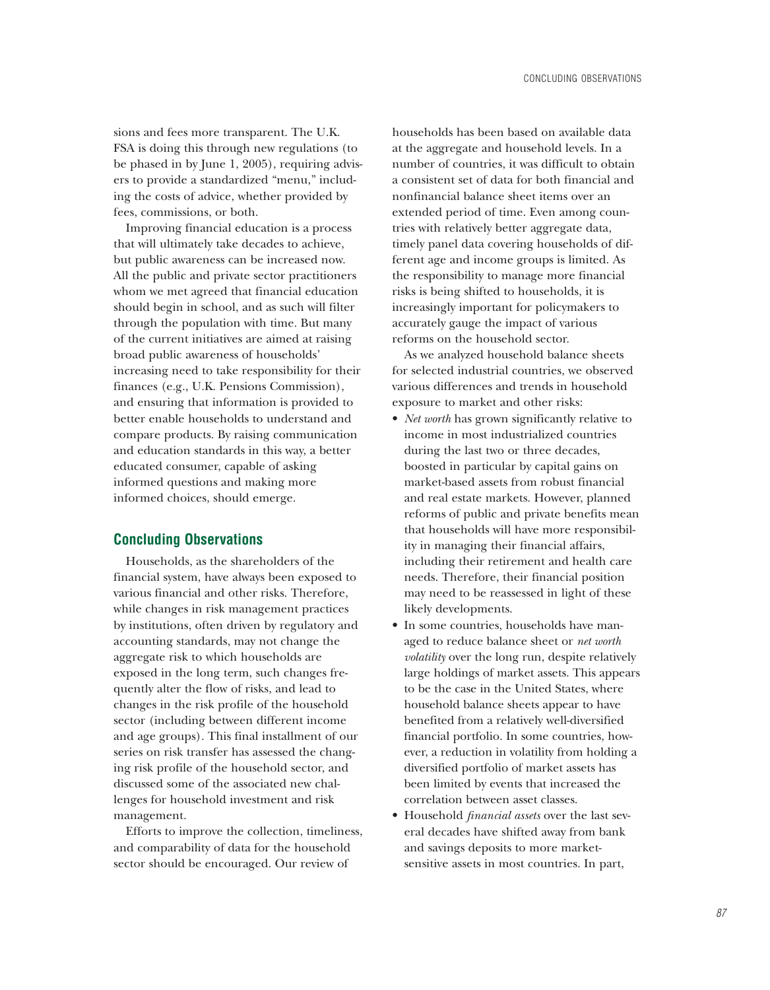sions and fees more transparent. The U.K. FSA is doing this through new regulations (to be phased in by June 1, 2005), requiring advisers to provide a standardized "menu," including the costs of advice, whether provided by fees, commissions, or both.

Improving financial education is a process that will ultimately take decades to achieve, but public awareness can be increased now. All the public and private sector practitioners whom we met agreed that financial education should begin in school, and as such will filter through the population with time. But many of the current initiatives are aimed at raising broad public awareness of households' increasing need to take responsibility for their finances (e.g., U.K. Pensions Commission), and ensuring that information is provided to better enable households to understand and compare products. By raising communication and education standards in this way, a better educated consumer, capable of asking informed questions and making more informed choices, should emerge.

# **Concluding Observations**

Households, as the shareholders of the financial system, have always been exposed to various financial and other risks. Therefore, while changes in risk management practices by institutions, often driven by regulatory and accounting standards, may not change the aggregate risk to which households are exposed in the long term, such changes frequently alter the flow of risks, and lead to changes in the risk profile of the household sector (including between different income and age groups). This final installment of our series on risk transfer has assessed the changing risk profile of the household sector, and discussed some of the associated new challenges for household investment and risk management.

Efforts to improve the collection, timeliness, and comparability of data for the household sector should be encouraged. Our review of

households has been based on available data at the aggregate and household levels. In a number of countries, it was difficult to obtain a consistent set of data for both financial and nonfinancial balance sheet items over an extended period of time. Even among countries with relatively better aggregate data, timely panel data covering households of different age and income groups is limited. As the responsibility to manage more financial risks is being shifted to households, it is increasingly important for policymakers to accurately gauge the impact of various reforms on the household sector.

As we analyzed household balance sheets for selected industrial countries, we observed various differences and trends in household exposure to market and other risks:

- *Net worth* has grown significantly relative to income in most industrialized countries during the last two or three decades, boosted in particular by capital gains on market-based assets from robust financial and real estate markets. However, planned reforms of public and private benefits mean that households will have more responsibility in managing their financial affairs, including their retirement and health care needs. Therefore, their financial position may need to be reassessed in light of these likely developments.
- In some countries, households have managed to reduce balance sheet or *net worth volatility* over the long run, despite relatively large holdings of market assets. This appears to be the case in the United States, where household balance sheets appear to have benefited from a relatively well-diversified financial portfolio. In some countries, however, a reduction in volatility from holding a diversified portfolio of market assets has been limited by events that increased the correlation between asset classes.
- Household *financial assets* over the last several decades have shifted away from bank and savings deposits to more marketsensitive assets in most countries. In part,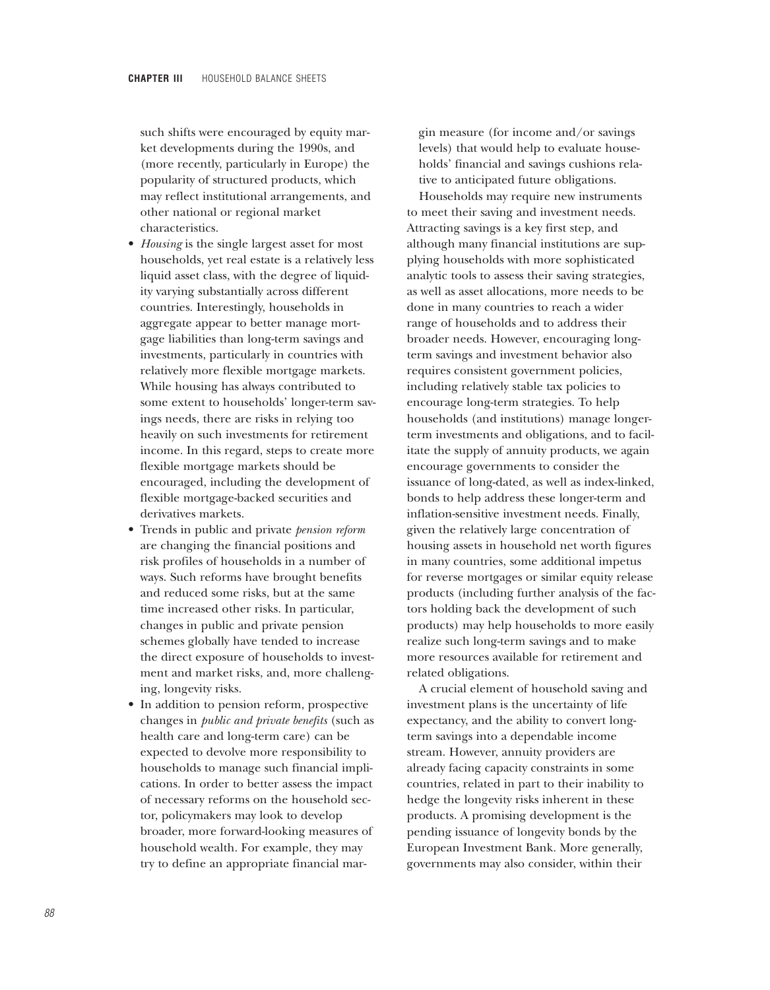such shifts were encouraged by equity market developments during the 1990s, and (more recently, particularly in Europe) the popularity of structured products, which may reflect institutional arrangements, and other national or regional market characteristics.

- *Housing* is the single largest asset for most households, yet real estate is a relatively less liquid asset class, with the degree of liquidity varying substantially across different countries. Interestingly, households in aggregate appear to better manage mortgage liabilities than long-term savings and investments, particularly in countries with relatively more flexible mortgage markets. While housing has always contributed to some extent to households' longer-term savings needs, there are risks in relying too heavily on such investments for retirement income. In this regard, steps to create more flexible mortgage markets should be encouraged, including the development of flexible mortgage-backed securities and derivatives markets.
- Trends in public and private *pension reform* are changing the financial positions and risk profiles of households in a number of ways. Such reforms have brought benefits and reduced some risks, but at the same time increased other risks. In particular, changes in public and private pension schemes globally have tended to increase the direct exposure of households to investment and market risks, and, more challenging, longevity risks.
- In addition to pension reform, prospective changes in *public and private benefits* (such as health care and long-term care) can be expected to devolve more responsibility to households to manage such financial implications. In order to better assess the impact of necessary reforms on the household sector, policymakers may look to develop broader, more forward-looking measures of household wealth. For example, they may try to define an appropriate financial mar-

gin measure (for income and/or savings levels) that would help to evaluate households' financial and savings cushions relative to anticipated future obligations.

Households may require new instruments to meet their saving and investment needs. Attracting savings is a key first step, and although many financial institutions are supplying households with more sophisticated analytic tools to assess their saving strategies, as well as asset allocations, more needs to be done in many countries to reach a wider range of households and to address their broader needs. However, encouraging longterm savings and investment behavior also requires consistent government policies, including relatively stable tax policies to encourage long-term strategies. To help households (and institutions) manage longerterm investments and obligations, and to facilitate the supply of annuity products, we again encourage governments to consider the issuance of long-dated, as well as index-linked, bonds to help address these longer-term and inflation-sensitive investment needs. Finally, given the relatively large concentration of housing assets in household net worth figures in many countries, some additional impetus for reverse mortgages or similar equity release products (including further analysis of the factors holding back the development of such products) may help households to more easily realize such long-term savings and to make more resources available for retirement and related obligations.

A crucial element of household saving and investment plans is the uncertainty of life expectancy, and the ability to convert longterm savings into a dependable income stream. However, annuity providers are already facing capacity constraints in some countries, related in part to their inability to hedge the longevity risks inherent in these products. A promising development is the pending issuance of longevity bonds by the European Investment Bank. More generally, governments may also consider, within their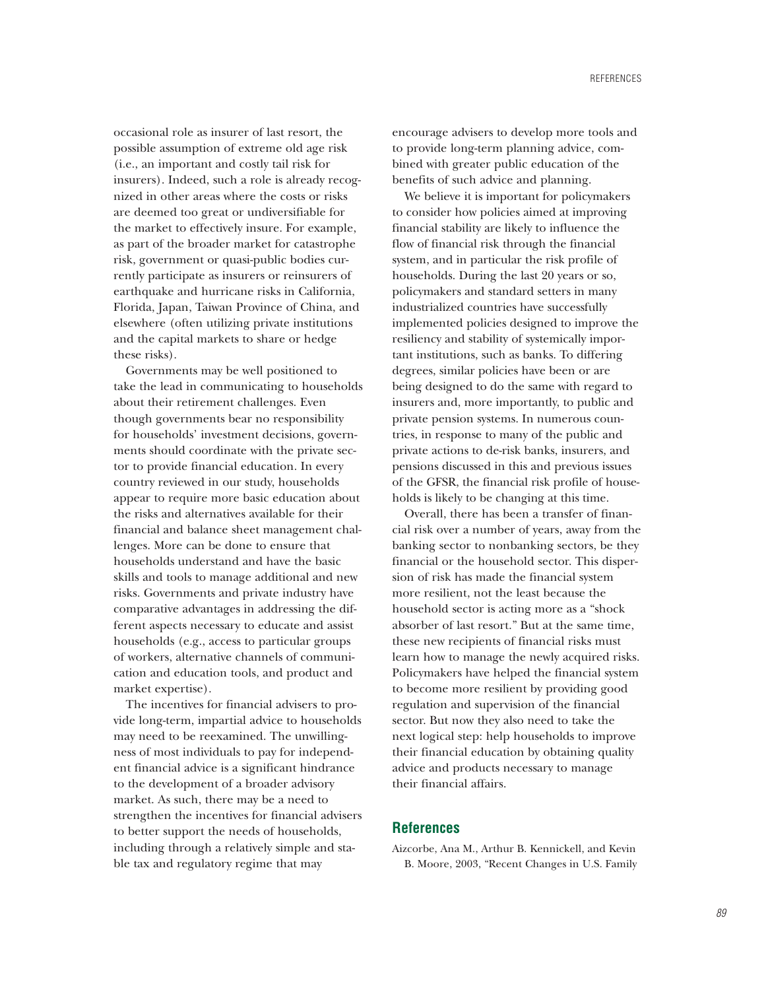occasional role as insurer of last resort, the possible assumption of extreme old age risk (i.e., an important and costly tail risk for insurers). Indeed, such a role is already recognized in other areas where the costs or risks are deemed too great or undiversifiable for the market to effectively insure. For example, as part of the broader market for catastrophe risk, government or quasi-public bodies currently participate as insurers or reinsurers of earthquake and hurricane risks in California, Florida, Japan, Taiwan Province of China, and elsewhere (often utilizing private institutions and the capital markets to share or hedge these risks).

Governments may be well positioned to take the lead in communicating to households about their retirement challenges. Even though governments bear no responsibility for households' investment decisions, governments should coordinate with the private sector to provide financial education. In every country reviewed in our study, households appear to require more basic education about the risks and alternatives available for their financial and balance sheet management challenges. More can be done to ensure that households understand and have the basic skills and tools to manage additional and new risks. Governments and private industry have comparative advantages in addressing the different aspects necessary to educate and assist households (e.g., access to particular groups of workers, alternative channels of communication and education tools, and product and market expertise).

The incentives for financial advisers to provide long-term, impartial advice to households may need to be reexamined. The unwillingness of most individuals to pay for independent financial advice is a significant hindrance to the development of a broader advisory market. As such, there may be a need to strengthen the incentives for financial advisers to better support the needs of households, including through a relatively simple and stable tax and regulatory regime that may

encourage advisers to develop more tools and to provide long-term planning advice, combined with greater public education of the benefits of such advice and planning.

We believe it is important for policymakers to consider how policies aimed at improving financial stability are likely to influence the flow of financial risk through the financial system, and in particular the risk profile of households. During the last 20 years or so, policymakers and standard setters in many industrialized countries have successfully implemented policies designed to improve the resiliency and stability of systemically important institutions, such as banks. To differing degrees, similar policies have been or are being designed to do the same with regard to insurers and, more importantly, to public and private pension systems. In numerous countries, in response to many of the public and private actions to de-risk banks, insurers, and pensions discussed in this and previous issues of the GFSR, the financial risk profile of households is likely to be changing at this time.

Overall, there has been a transfer of financial risk over a number of years, away from the banking sector to nonbanking sectors, be they financial or the household sector. This dispersion of risk has made the financial system more resilient, not the least because the household sector is acting more as a "shock absorber of last resort." But at the same time, these new recipients of financial risks must learn how to manage the newly acquired risks. Policymakers have helped the financial system to become more resilient by providing good regulation and supervision of the financial sector. But now they also need to take the next logical step: help households to improve their financial education by obtaining quality advice and products necessary to manage their financial affairs.

## **References**

Aizcorbe, Ana M., Arthur B. Kennickell, and Kevin B. Moore, 2003, "Recent Changes in U.S. Family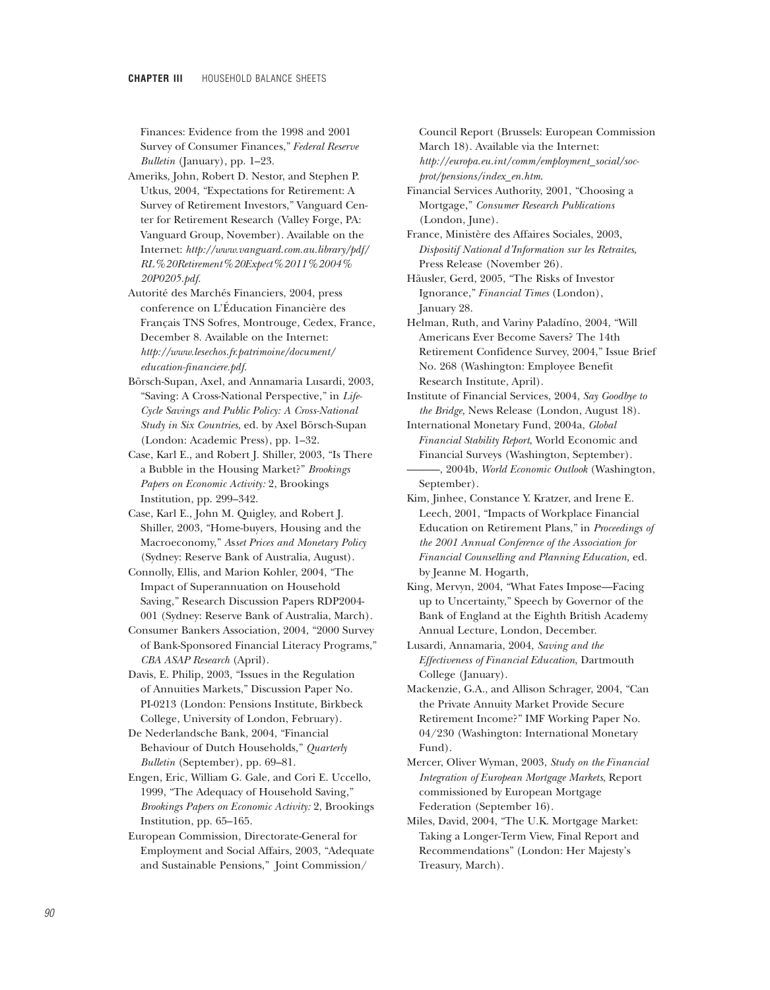Finances: Evidence from the 1998 and 2001 Survey of Consumer Finances," *Federal Reserve Bulletin* (January), pp. 1–23.

- Ameriks, John, Robert D. Nestor, and Stephen P. Utkus, 2004, "Expectations for Retirement: A Survey of Retirement Investors," Vanguard Center for Retirement Research (Valley Forge, PA: Vanguard Group, November). Available on the Internet: *http://www.vanguard.com.au.library/pdf/ RL%20Retirement%20Expect%2011%2004% 20P0205.pdf.*
- Autorité des Marchés Financiers, 2004, press conference on L'Éducation Financière des Français TNS Sofres, Montrouge, Cedex, France, December 8. Available on the Internet: *http://www.lesechos.fr.patrimoine/document/ education-financiere.pdf.*
- Börsch-Supan, Axel, and Annamaria Lusardi, 2003, "Saving: A Cross-National Perspective," in *Life-Cycle Savings and Public Policy: A Cross-National Study in Six Countries*, ed. by Axel Börsch-Supan (London: Academic Press), pp. 1–32.
- Case, Karl E., and Robert J. Shiller, 2003, "Is There a Bubble in the Housing Market?" *Brookings Papers on Economic Activity:* 2, Brookings Institution, pp. 299–342.
- Case, Karl E., John M. Quigley, and Robert J. Shiller, 2003, "Home-buyers, Housing and the Macroeconomy," *A*s*set Prices and Monetary Policy* (Sydney: Reserve Bank of Australia, August).
- Connolly, Ellis, and Marion Kohler, 2004, "The Impact of Superannuation on Household Saving," Research Discussion Papers RDP2004- 001 (Sydney: Reserve Bank of Australia, March).
- Consumer Bankers Association, 2004, "2000 Survey of Bank-Sponsored Financial Literacy Programs," *CBA ASAP Research* (April).

Davis, E. Philip, 2003, "Issues in the Regulation of Annuities Markets," Discussion Paper No. PI-0213 (London: Pensions Institute, Birkbeck College, University of London, February).

De Nederlandsche Bank, 2004, "Financial Behaviour of Dutch Households," *Quarterly Bulletin* (September), pp. 69–81.

Engen, Eric, William G. Gale, and Cori E. Uccello, 1999, "The Adequacy of Household Saving," *Brookings Papers on Economic Activity:* 2, Brookings Institution, pp. 65–165.

European Commission, Directorate-General for Employment and Social Affairs, 2003, "Adequate and Sustainable Pensions," Joint Commission/

Council Report (Brussels: European Commission March 18). Available via the Internet: *http://europa.eu.int/comm/employment\_social/socprot/pensions/index\_en.htm*.

- Financial Services Authority, 2001, "Choosing a Mortgage," *Consumer Research Publications* (London, June).
- France, Ministère des Affaires Sociales, 2003, *Dispositif National d'Information sur les Retraites*, Press Release (November 26).
- Häusler, Gerd, 2005, "The Risks of Investor Ignorance," *Financial Times* (London), January 28.
- Helman, Ruth, and Variny Paladíno, 2004, "Will Americans Ever Become Savers? The 14th Retirement Confidence Survey, 2004," Issue Brief No. 268 (Washington: Employee Benefit Research Institute, April).
- Institute of Financial Services, 2004, *Say Goodbye to the Bridge,* News Release (London, August 18).
- International Monetary Fund, 2004a, *Global Financial Stability Report*, World Economic and Financial Surveys (Washington, September). ———, 2004b, *World Economic Outlook* (Washington,
- September).
- Kim, Jinhee, Constance Y. Kratzer, and Irene E. Leech, 2001, "Impacts of Workplace Financial Education on Retirement Plans," in *Proceedings of the 2001 Annual Conference of the Association for Financial Counselling and Planning Education,* ed. by Jeanne M. Hogarth,
- King, Mervyn, 2004, "What Fates Impose—Facing up to Uncertainty," Speech by Governor of the Bank of England at the Eighth British Academy Annual Lecture, London, December.
- Lusardi, Annamaria, 2004, *Saving and the Effectiveness of Financial Education*, Dartmouth College (January).
- Mackenzie, G.A., and Allison Schrager, 2004, "Can the Private Annuity Market Provide Secure Retirement Income?" IMF Working Paper No. 04/230 (Washington: International Monetary Fund).
- Mercer, Oliver Wyman, 2003, *Study on the Financial Integration of European Mortgage Markets*, Report commissioned by European Mortgage Federation (September 16).
- Miles, David, 2004, "The U.K. Mortgage Market: Taking a Longer-Term View, Final Report and Recommendations" (London: Her Majesty's Treasury, March).